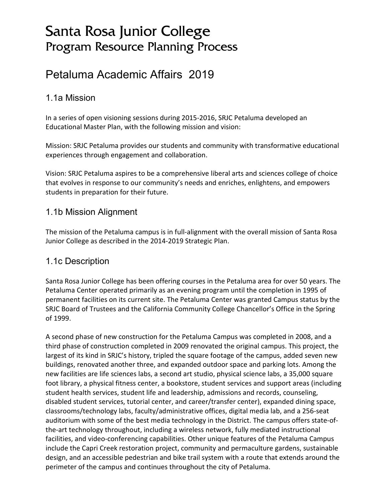# Santa Rosa Junior College Program Resource Planning Process

# Petaluma Academic Affairs 2019

#### 1.1a Mission

In a series of open visioning sessions during 2015-2016, SRJC Petaluma developed an Educational Master Plan, with the following mission and vision:

Mission: SRJC Petaluma provides our students and community with transformative educational experiences through engagement and collaboration.

Vision: SRJC Petaluma aspires to be a comprehensive liberal arts and sciences college of choice that evolves in response to our community's needs and enriches, enlightens, and empowers students in preparation for their future.

#### 1.1b Mission Alignment

The mission of the Petaluma campus is in full-alignment with the overall mission of Santa Rosa Junior College as described in the 2014-2019 Strategic Plan.

#### 1.1c Description

Santa Rosa Junior College has been offering courses in the Petaluma area for over 50 years. The Petaluma Center operated primarily as an evening program until the completion in 1995 of permanent facilities on its current site. The Petaluma Center was granted Campus status by the SRJC Board of Trustees and the California Community College Chancellor's Office in the Spring of 1999.

A second phase of new construction for the Petaluma Campus was completed in 2008, and a third phase of construction completed in 2009 renovated the original campus. This project, the largest of its kind in SRJC's history, tripled the square footage of the campus, added seven new buildings, renovated another three, and expanded outdoor space and parking lots. Among the new facilities are life sciences labs, a second art studio, physical science labs, a 35,000 square foot library, a physical fitness center, a bookstore, student services and support areas (including student health services, student life and leadership, admissions and records, counseling, disabled student services, tutorial center, and career/transfer center), expanded dining space, classrooms/technology labs, faculty/administrative offices, digital media lab, and a 256-seat auditorium with some of the best media technology in the District. The campus offers state-ofthe-art technology throughout, including a wireless network, fully mediated instructional facilities, and video-conferencing capabilities. Other unique features of the Petaluma Campus include the Capri Creek restoration project, community and permaculture gardens, sustainable design, and an accessible pedestrian and bike trail system with a route that extends around the perimeter of the campus and continues throughout the city of Petaluma.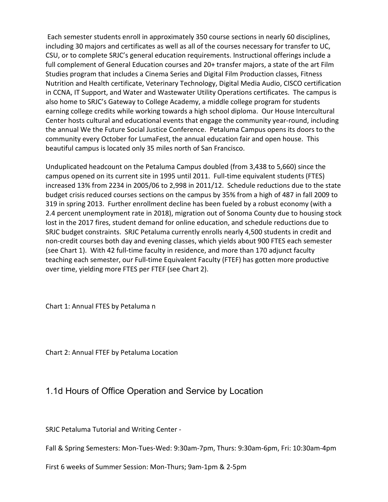Each semester students enroll in approximately 350 course sections in nearly 60 disciplines, including 30 majors and certificates as well as all of the courses necessary for transfer to UC, CSU, or to complete SRJC's general education requirements. Instructional offerings include a full complement of General Education courses and 20+ transfer majors, a state of the art Film Studies program that includes a Cinema Series and Digital Film Production classes, Fitness Nutrition and Health certificate, Veterinary Technology, Digital Media Audio, CISCO certification in CCNA, IT Support, and Water and Wastewater Utility Operations certificates. The campus is also home to SRJC's Gateway to College Academy, a middle college program for students earning college credits while working towards a high school diploma. Our House Intercultural Center hosts cultural and educational events that engage the community year-round, including the annual We the Future Social Justice Conference. Petaluma Campus opens its doors to the community every October for LumaFest, the annual education fair and open house. This beautiful campus is located only 35 miles north of San Francisco.

Unduplicated headcount on the Petaluma Campus doubled (from 3,438 to 5,660) since the campus opened on its current site in 1995 until 2011. Full-time equivalent students (FTES) increased 13% from 2234 in 2005/06 to 2,998 in 2011/12. Schedule reductions due to the state budget crisis reduced courses sections on the campus by 35% from a high of 487 in fall 2009 to 319 in spring 2013. Further enrollment decline has been fueled by a robust economy (with a 2.4 percent unemployment rate in 2018), migration out of Sonoma County due to housing stock lost in the 2017 fires, student demand for online education, and schedule reductions due to SRJC budget constraints. SRJC Petaluma currently enrolls nearly 4,500 students in credit and non-credit courses both day and evening classes, which yields about 900 FTES each semester (see Chart 1). With 42 full-time faculty in residence, and more than 170 adjunct faculty teaching each semester, our Full-time Equivalent Faculty (FTEF) has gotten more productive over time, yielding more FTES per FTEF (see Chart 2).

Chart 1: Annual FTES by Petaluma n

Chart 2: Annual FTEF by Petaluma Location

#### 1.1d Hours of Office Operation and Service by Location

SRJC Petaluma Tutorial and Writing Center -

Fall & Spring Semesters: Mon-Tues-Wed: 9:30am-7pm, Thurs: 9:30am-6pm, Fri: 10:30am-4pm

First 6 weeks of Summer Session: Mon-Thurs; 9am-1pm & 2-5pm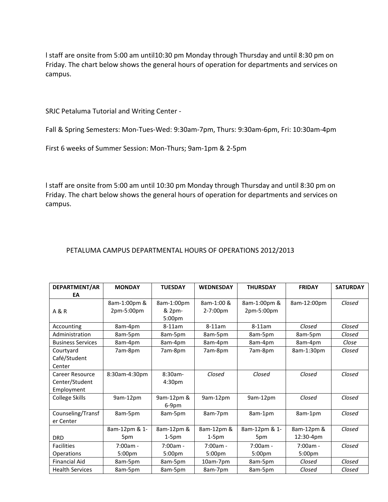l staff are onsite from 5:00 am until10:30 pm Monday through Thursday and until 8:30 pm on Friday. The chart below shows the general hours of operation for departments and services on campus.

SRJC Petaluma Tutorial and Writing Center -

Fall & Spring Semesters: Mon-Tues-Wed: 9:30am-7pm, Thurs: 9:30am-6pm, Fri: 10:30am-4pm

First 6 weeks of Summer Session: Mon-Thurs; 9am-1pm & 2-5pm

l staff are onsite from 5:00 am until 10:30 pm Monday through Thursday and until 8:30 pm on Friday. The chart below shows the general hours of operation for departments and services on campus.

#### PETALUMA CAMPUS DEPARTMENTAL HOURS OF OPERATIONS 2012/2013

| DEPARTMENT/AR            | <b>MONDAY</b>      | <b>TUESDAY</b>      | <b>WEDNESDAY</b>   | <b>THURSDAY</b>    | <b>FRIDAY</b>      | <b>SATURDAY</b> |  |
|--------------------------|--------------------|---------------------|--------------------|--------------------|--------------------|-----------------|--|
| EА                       |                    |                     |                    |                    |                    |                 |  |
|                          | 8am-1:00pm &       | 8am-1:00pm          | 8am-1:00 &         | 8am-1:00pm &       | 8am-12:00pm        | Closed          |  |
| A & R                    | 2pm-5:00pm         | & 2pm-<br>5:00pm    | 2-7:00pm           | 2pm-5:00pm         |                    |                 |  |
| Accounting               | 8am-4pm            | $8-11am$            | $8-11am$           | $8-11am$           | Closed             | Closed          |  |
| Administration           | 8am-5pm            | 8am-5pm             | 8am-5pm            | 8am-5pm            | 8am-5pm            | Closed          |  |
| <b>Business Services</b> | 8am-4pm            | 8am-4pm             | 8am-4pm            | 8am-4pm            | 8am-4pm            | Close           |  |
| Courtyard                | 7am-8pm            | 7am-8pm             | 7am-8pm            | 7am-8pm            | 8am-1:30pm         | Closed          |  |
| Café/Student             |                    |                     |                    |                    |                    |                 |  |
| Center                   |                    |                     |                    |                    |                    |                 |  |
| Career Resource          | 8:30am-4:30pm      | $8:30am -$          | Closed             | Closed             | Closed             | Closed          |  |
| Center/Student           |                    | 4:30 <sub>pm</sub>  |                    |                    |                    |                 |  |
| Employment               |                    |                     |                    |                    |                    |                 |  |
| <b>College Skills</b>    | 9am-12pm           | 9am-12pm &<br>6-9pm | 9am-12pm           | 9am-12pm           | Closed             | Closed          |  |
| Counseling/Transf        | 8am-5pm            | 8am-5pm             | 8am-7pm            | 8am-1pm            | 8am-1pm            | Closed          |  |
| er Center                |                    |                     |                    |                    |                    |                 |  |
|                          | 8am-12pm & 1-      | 8am-12pm &          | 8am-12pm &         | 8am-12pm & 1-      | 8am-12pm &         | Closed          |  |
| <b>DRD</b>               | 5pm                | $1-5pm$             | $1-5pm$            | 5pm                | 12:30-4pm          |                 |  |
| <b>Facilities</b>        | $7:00am -$         | $7:00am -$          | $7:00am -$         | $7:00am -$         | $7:00am -$         | Closed          |  |
| Operations               | 5:00 <sub>pm</sub> | 5:00 <sub>pm</sub>  | 5:00 <sub>pm</sub> | 5:00 <sub>pm</sub> | 5:00 <sub>pm</sub> |                 |  |
| <b>Financial Aid</b>     | 8am-5pm            | 8am-5pm             | 10am-7pm           | 8am-5pm            | Closed             | Closed          |  |
| <b>Health Services</b>   | 8am-5pm            | 8am-5pm             | 8am-7pm            | 8am-5pm            | Closed             | Closed          |  |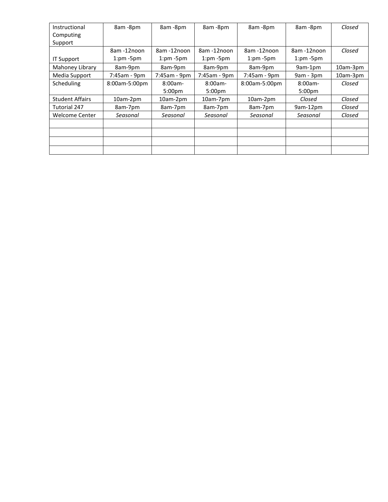| Instructional          | 8am -8pm      | 8am -8pm           | 8am -8pm           | 8am -8pm      | 8am -8pm           | Closed   |
|------------------------|---------------|--------------------|--------------------|---------------|--------------------|----------|
| Computing              |               |                    |                    |               |                    |          |
| Support                |               |                    |                    |               |                    |          |
|                        | 8am-12noon    | 8am-12noon         | 8am-12noon         | 8am-12noon    | 8am-12noon         | Closed   |
| <b>IT Support</b>      | $1:pm-5pm$    | $1:pm-5pm$         | $1:pm-5pm$         | $1:pm-5pm$    | $1:pm-5pm$         |          |
| Mahoney Library        | 8am-9pm       | 8am-9pm            | 8am-9pm            | 8am-9pm       | 9am-1pm            | 10am-3pm |
| Media Support          | 7:45am - 9pm  | 7:45am - 9pm       | 7:45am - 9pm       | 7:45am - 9pm  | $9am - 3pm$        | 10am-3pm |
| Scheduling             | 8:00am-5:00pm | $8:00am -$         | $8:00am -$         | 8:00am-5:00pm | $8:00am -$         | Closed   |
|                        |               | 5:00 <sub>pm</sub> | 5:00 <sub>pm</sub> |               | 5:00 <sub>pm</sub> |          |
| <b>Student Affairs</b> | 10am-2pm      | 10am-2pm           | 10am-7pm           | 10am-2pm      | Closed             | Closed   |
| Tutorial 247           | 8am-7pm       | 8am-7pm            | 8am-7pm            | 8am-7pm       | 9am-12pm           | Closed   |
| Welcome Center         | Seasonal      | Seasonal           | Seasonal           | Seasonal      | Seasonal           | Closed   |
|                        |               |                    |                    |               |                    |          |
|                        |               |                    |                    |               |                    |          |
|                        |               |                    |                    |               |                    |          |
|                        |               |                    |                    |               |                    |          |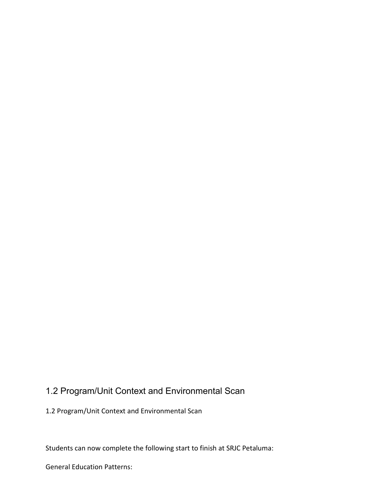## 1.2 Program/Unit Context and Environmental Scan

1.2 Program/Unit Context and Environmental Scan

Students can now complete the following start to finish at SRJC Petaluma:

General Education Patterns: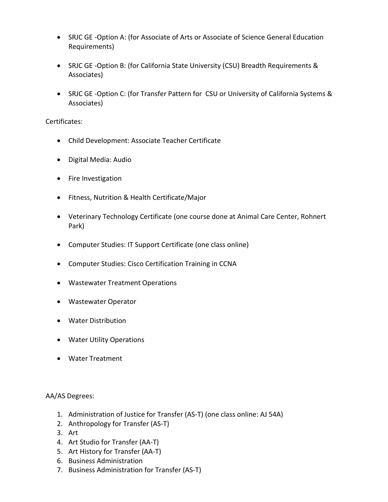- SRJC GE -Option A: (for Associate of Arts or Associate of Science General Education Requirements)
- SRJC GE -Option B: (for California State University (CSU) Breadth Requirements & Associates)
- SRJC GE -Option C: (for Transfer Pattern for CSU or University of California Systems & Associates)

#### Certificates:

- Child Development: Associate Teacher Certificate
- Digital Media: Audio
- Fire Investigation
- Fitness, Nutrition & Health Certificate/Major
- Veterinary Technology Certificate (one course done at Animal Care Center, Rohnert Park)
- Computer Studies: IT Support Certificate (one class online)
- Computer Studies: Cisco Certification Training in CCNA
- Wastewater Treatment Operations
- Wastewater Operator
- Water Distribution
- Water Utility Operations
- Water Treatment

#### AA/AS Degrees:

- 1. Administration of Justice for Transfer (AS-T) (one class online: AJ 54A)
- 2. Anthropology for Transfer (AS-T)
- 3. Art
- 4. Art Studio for Transfer (AA-T)
- 5. Art History for Transfer (AA-T)
- 6. Business Administration
- 7. Business Administration for Transfer (AS-T)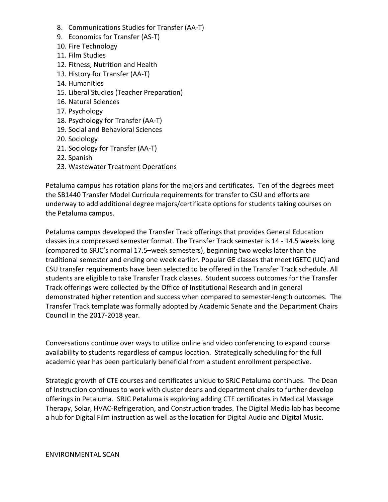- 8. Communications Studies for Transfer (AA-T)
- 9. Economics for Transfer (AS-T)
- 10. Fire Technology
- 11. Film Studies
- 12. Fitness, Nutrition and Health
- 13. History for Transfer (AA-T)
- 14. Humanities
- 15. Liberal Studies (Teacher Preparation)
- 16. Natural Sciences
- 17. Psychology
- 18. Psychology for Transfer (AA-T)
- 19. Social and Behavioral Sciences
- 20. Sociology
- 21. Sociology for Transfer (AA-T)
- 22. Spanish
- 23. Wastewater Treatment Operations

Petaluma campus has rotation plans for the majors and certificates. Ten of the degrees meet the SB1440 Transfer Model Curricula requirements for transfer to CSU and efforts are underway to add additional degree majors/certificate options for students taking courses on the Petaluma campus.

Petaluma campus developed the Transfer Track offerings that provides General Education classes in a compressed semester format. The Transfer Track semester is 14 - 14.5 weeks long (compared to SRJC's normal 17.5–week semesters), beginning two weeks later than the traditional semester and ending one week earlier. Popular GE classes that meet IGETC (UC) and CSU transfer requirements have been selected to be offered in the Transfer Track schedule. All students are eligible to take Transfer Track classes. Student success outcomes for the Transfer Track offerings were collected by the Office of Institutional Research and in general demonstrated higher retention and success when compared to semester-length outcomes. The Transfer Track template was formally adopted by Academic Senate and the Department Chairs Council in the 2017-2018 year.

Conversations continue over ways to utilize online and video conferencing to expand course availability to students regardless of campus location. Strategically scheduling for the full academic year has been particularly beneficial from a student enrollment perspective.

Strategic growth of CTE courses and certificates unique to SRJC Petaluma continues. The Dean of Instruction continues to work with cluster deans and department chairs to further develop offerings in Petaluma. SRJC Petaluma is exploring adding CTE certificates in Medical Massage Therapy, Solar, HVAC-Refrigeration, and Construction trades. The Digital Media lab has become a hub for Digital Film instruction as well as the location for Digital Audio and Digital Music.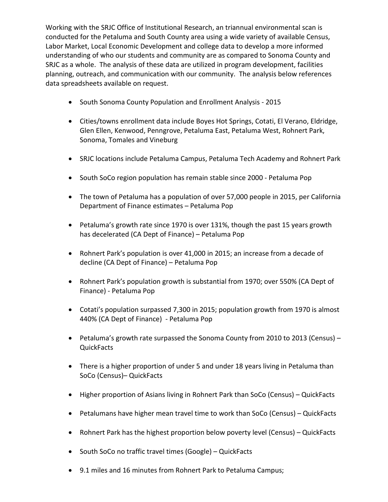Working with the SRJC Office of Institutional Research, an triannual environmental scan is conducted for the Petaluma and South County area using a wide variety of available Census, Labor Market, Local Economic Development and college data to develop a more informed understanding of who our students and community are as compared to Sonoma County and SRJC as a whole. The analysis of these data are utilized in program development, facilities planning, outreach, and communication with our community. The analysis below references data spreadsheets available on request.

- South Sonoma County Population and Enrollment Analysis 2015
- Cities/towns enrollment data include Boyes Hot Springs, Cotati, El Verano, Eldridge, Glen Ellen, Kenwood, Penngrove, Petaluma East, Petaluma West, Rohnert Park, Sonoma, Tomales and Vineburg
- SRJC locations include Petaluma Campus, Petaluma Tech Academy and Rohnert Park
- South SoCo region population has remain stable since 2000 Petaluma Pop
- The town of Petaluma has a population of over 57,000 people in 2015, per California Department of Finance estimates – Petaluma Pop
- Petaluma's growth rate since 1970 is over 131%, though the past 15 years growth has decelerated (CA Dept of Finance) – Petaluma Pop
- Rohnert Park's population is over 41,000 in 2015; an increase from a decade of decline (CA Dept of Finance) – Petaluma Pop
- Rohnert Park's population growth is substantial from 1970; over 550% (CA Dept of Finance) - Petaluma Pop
- Cotati's population surpassed 7,300 in 2015; population growth from 1970 is almost 440% (CA Dept of Finance) - Petaluma Pop
- Petaluma's growth rate surpassed the Sonoma County from 2010 to 2013 (Census) **QuickFacts**
- There is a higher proportion of under 5 and under 18 years living in Petaluma than SoCo (Census)– QuickFacts
- Higher proportion of Asians living in Rohnert Park than SoCo (Census) QuickFacts
- Petalumans have higher mean travel time to work than SoCo (Census) QuickFacts
- Rohnert Park has the highest proportion below poverty level (Census) QuickFacts
- South SoCo no traffic travel times (Google) QuickFacts
- 9.1 miles and 16 minutes from Rohnert Park to Petaluma Campus;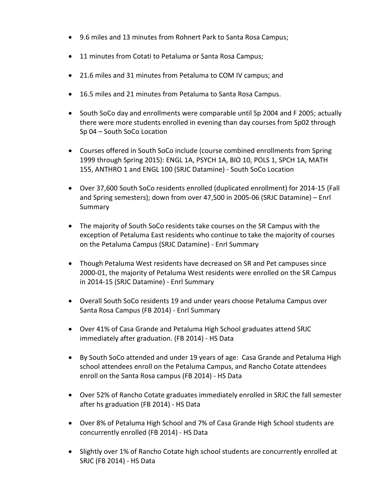- 9.6 miles and 13 minutes from Rohnert Park to Santa Rosa Campus;
- 11 minutes from Cotati to Petaluma or Santa Rosa Campus;
- 21.6 miles and 31 minutes from Petaluma to COM IV campus; and
- 16.5 miles and 21 minutes from Petaluma to Santa Rosa Campus.
- South SoCo day and enrollments were comparable until Sp 2004 and F 2005; actually there were more students enrolled in evening than day courses from Sp02 through Sp 04 – South SoCo Location
- Courses offered in South SoCo include (course combined enrollments from Spring 1999 through Spring 2015): ENGL 1A, PSYCH 1A, BIO 10, POLS 1, SPCH 1A, MATH 155, ANTHRO 1 and ENGL 100 (SRJC Datamine) - South SoCo Location
- Over 37,600 South SoCo residents enrolled (duplicated enrollment) for 2014-15 (Fall and Spring semesters); down from over 47,500 in 2005-06 (SRJC Datamine) – Enrl Summary
- The majority of South SoCo residents take courses on the SR Campus with the exception of Petaluma East residents who continue to take the majority of courses on the Petaluma Campus (SRJC Datamine) - Enrl Summary
- Though Petaluma West residents have decreased on SR and Pet campuses since 2000-01, the majority of Petaluma West residents were enrolled on the SR Campus in 2014-15 (SRJC Datamine) - Enrl Summary
- Overall South SoCo residents 19 and under years choose Petaluma Campus over Santa Rosa Campus (FB 2014) - Enrl Summary
- Over 41% of Casa Grande and Petaluma High School graduates attend SRJC immediately after graduation. (FB 2014) - HS Data
- By South SoCo attended and under 19 years of age: Casa Grande and Petaluma High school attendees enroll on the Petaluma Campus, and Rancho Cotate attendees enroll on the Santa Rosa campus (FB 2014) - HS Data
- Over 52% of Rancho Cotate graduates immediately enrolled in SRJC the fall semester after hs graduation (FB 2014) - HS Data
- Over 8% of Petaluma High School and 7% of Casa Grande High School students are concurrently enrolled (FB 2014) - HS Data
- Slightly over 1% of Rancho Cotate high school students are concurrently enrolled at SRJC (FB 2014) - HS Data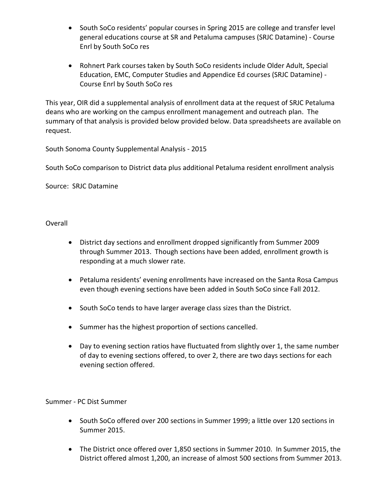- South SoCo residents' popular courses in Spring 2015 are college and transfer level general educations course at SR and Petaluma campuses (SRJC Datamine) - Course Enrl by South SoCo res
- Rohnert Park courses taken by South SoCo residents include Older Adult, Special Education, EMC, Computer Studies and Appendice Ed courses (SRJC Datamine) - Course Enrl by South SoCo res

This year, OIR did a supplemental analysis of enrollment data at the request of SRJC Petaluma deans who are working on the campus enrollment management and outreach plan. The summary of that analysis is provided below provided below. Data spreadsheets are available on request.

South Sonoma County Supplemental Analysis - 2015

South SoCo comparison to District data plus additional Petaluma resident enrollment analysis

Source: SRJC Datamine

**Overall** 

- District day sections and enrollment dropped significantly from Summer 2009 through Summer 2013. Though sections have been added, enrollment growth is responding at a much slower rate.
- Petaluma residents' evening enrollments have increased on the Santa Rosa Campus even though evening sections have been added in South SoCo since Fall 2012.
- South SoCo tends to have larger average class sizes than the District.
- Summer has the highest proportion of sections cancelled.
- Day to evening section ratios have fluctuated from slightly over 1, the same number of day to evening sections offered, to over 2, there are two days sections for each evening section offered.

Summer - PC Dist Summer

- South SoCo offered over 200 sections in Summer 1999; a little over 120 sections in Summer 2015.
- The District once offered over 1,850 sections in Summer 2010. In Summer 2015, the District offered almost 1,200, an increase of almost 500 sections from Summer 2013.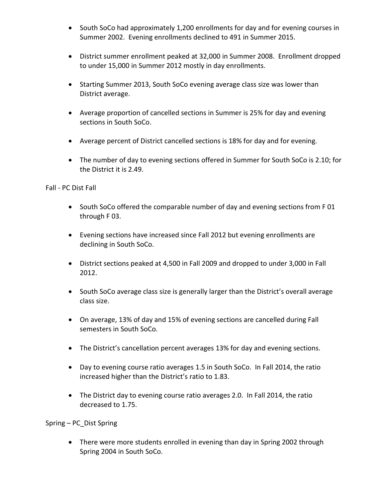- South SoCo had approximately 1,200 enrollments for day and for evening courses in Summer 2002. Evening enrollments declined to 491 in Summer 2015.
- District summer enrollment peaked at 32,000 in Summer 2008. Enrollment dropped to under 15,000 in Summer 2012 mostly in day enrollments.
- Starting Summer 2013, South SoCo evening average class size was lower than District average.
- Average proportion of cancelled sections in Summer is 25% for day and evening sections in South SoCo.
- Average percent of District cancelled sections is 18% for day and for evening.
- The number of day to evening sections offered in Summer for South SoCo is 2.10; for the District it is 2.49.

Fall - PC Dist Fall

- South SoCo offered the comparable number of day and evening sections from F01 through F 03.
- Evening sections have increased since Fall 2012 but evening enrollments are declining in South SoCo.
- District sections peaked at 4,500 in Fall 2009 and dropped to under 3,000 in Fall 2012.
- South SoCo average class size is generally larger than the District's overall average class size.
- On average, 13% of day and 15% of evening sections are cancelled during Fall semesters in South SoCo.
- The District's cancellation percent averages 13% for day and evening sections.
- Day to evening course ratio averages 1.5 in South SoCo. In Fall 2014, the ratio increased higher than the District's ratio to 1.83.
- The District day to evening course ratio averages 2.0. In Fall 2014, the ratio decreased to 1.75.

Spring – PC\_Dist Spring

• There were more students enrolled in evening than day in Spring 2002 through Spring 2004 in South SoCo.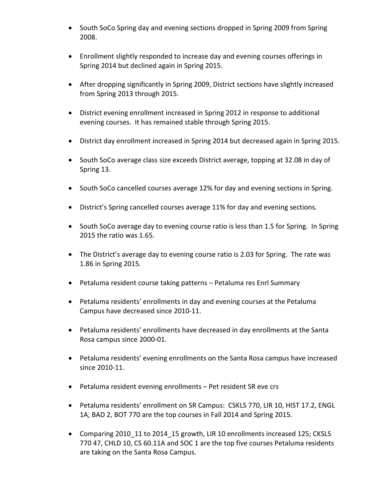- South SoCo Spring day and evening sections dropped in Spring 2009 from Spring 2008.
- Enrollment slightly responded to increase day and evening courses offerings in Spring 2014 but declined again in Spring 2015.
- After dropping significantly in Spring 2009, District sections have slightly increased from Spring 2013 through 2015.
- District evening enrollment increased in Spring 2012 in response to additional evening courses. It has remained stable through Spring 2015.
- District day enrollment increased in Spring 2014 but decreased again in Spring 2015.
- South SoCo average class size exceeds District average, topping at 32.08 in day of Spring 13.
- South SoCo cancelled courses average 12% for day and evening sections in Spring.
- District's Spring cancelled courses average 11% for day and evening sections.
- South SoCo average day to evening course ratio is less than 1.5 for Spring. In Spring 2015 the ratio was 1.65.
- The District's average day to evening course ratio is 2.03 for Spring. The rate was 1.86 in Spring 2015.
- Petaluma resident course taking patterns Petaluma res Enrl Summary
- Petaluma residents' enrollments in day and evening courses at the Petaluma Campus have decreased since 2010-11.
- Petaluma residents' enrollments have decreased in day enrollments at the Santa Rosa campus since 2000-01.
- Petaluma residents' evening enrollments on the Santa Rosa campus have increased since 2010-11.
- Petaluma resident evening enrollments Pet resident SR eve crs
- Petaluma residents' enrollment on SR Campus: CSKLS 770, LIR 10, HIST 17.2, ENGL 1A, BAD 2, BOT 770 are the top courses in Fall 2014 and Spring 2015.
- Comparing 2010 11 to 2014 15 growth, LIR 10 enrollments increased 125; CKSLS 770 47, CHLD 10, CS 60.11A and SOC 1 are the top five courses Petaluma residents are taking on the Santa Rosa Campus.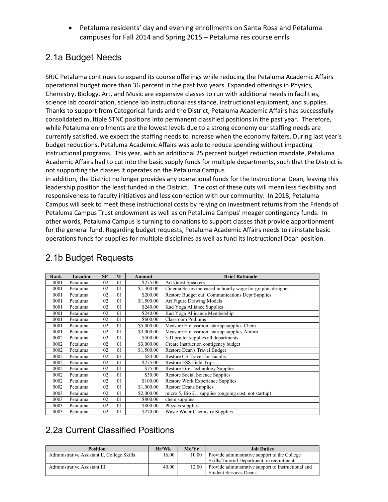• Petaluma residents' day and evening enrollments on Santa Rosa and Petaluma campuses for Fall 2014 and Spring 2015 – Petaluma res course enrls

#### 2.1a Budget Needs

SRJC Petaluma continues to expand its course offerings while reducing the Petaluma Academic Affairs operational budget more than 36 percent in the past two years. Expanded offerings in Physics, Chemistry, Biology, Art, and Music are expensive classes to run with additional needs in facilities, science lab coordination, science lab instructional assistance, instructional equipment, and supplies. Thanks to support from Categorical funds and the District, Petaluma Academic Affairs has successfully consolidated multiple STNC positions into permanent classified positions in the past year. Therefore, while Petaluma enrollments are the lowest levels due to a strong economy our staffing needs are currently satisfied, we expect the staffing needs to increase when the economy falters. During last year's budget reductions, Petaluma Academic Affairs was able to reduce spending without impacting instructional programs. This year, with an additional 25 percent budget reduction mandate, Petaluma Academic Affairs had to cut into the basic supply funds for multiple departments, such that the District is not supporting the classes it operates on the Petaluma Campus

in addition, the District no longer provides any operational funds for the Instructional Dean, leaving this leadership position the least funded in the District. The cost of these cuts will mean less flexibility and responsiveness to faculty initiatives and less connection with our community. In 2018, Petaluma Campus will seek to meet these instructional costs by relying on investment returns from the Friends of Petaluma Campus Trust endowment as well as on Petaluma Campus' meager contingency funds. In other words, Petaluma Campus is turning to donations to support classes that provide apportionment for the general fund. Regarding budget requests, Petaluma Academic Affairs needs to reinstate basic operations funds for supplies for multiple disciplines as well as fund its Instructional Dean position.

| Rank | Location | SP             | M              | <b>Amount</b> | <b>Brief Rationale</b>                                      |
|------|----------|----------------|----------------|---------------|-------------------------------------------------------------|
| 0001 | Petaluma | 02             | 01             | \$275.00      | Art Guest Speakers                                          |
| 0001 | Petaluma | 02             | 0 <sub>1</sub> | \$1,300.00    | Cinema Series increased in hourly wage for graphic designer |
| 0001 | Petaluma | 02             | 01             | \$200.00      | Restore Budget cut: Communications Dept Supplies            |
| 0001 | Petaluma | 0 <sub>2</sub> | 0 <sub>1</sub> | \$1,500.00    | Art Figure Drawing Models                                   |
| 0001 | Petaluma | 02             | 01             | \$240.00      | Kad Yoga Alliance Supplies                                  |
| 0001 | Petaluma | 02             | 0 <sub>1</sub> | \$240.00      | Kad Yoga Allicance Membership                               |
| 0001 | Petaluma | 02             | 01             | \$600.00      | <b>Classroom Podiums</b>                                    |
| 0001 | Petaluma | 02             | 0 <sub>1</sub> | \$5,000.00    | Measure H classroom startup supplies Chem                   |
| 0001 | Petaluma | 02             | 01             | \$3,000.00    | Measure H classroom startup supplies Anthro                 |
| 0002 | Petaluma | 02             | 01             | \$500.00      | 3-D printer supplies all departments                        |
| 0002 | Petaluma | 02             | 0 <sub>1</sub> | \$3,000.00    | Create Instruction contigency budget                        |
| 0002 | Petaluma | 02             | 0 <sub>1</sub> | \$1,500.00    | Restore Dean's Travel Budget                                |
| 0002 | Petaluma | 02             | 01             | \$84.00       | Restore CS Travel for Faculty                               |
| 0002 | Petaluma | 0 <sub>2</sub> | 0 <sub>1</sub> | \$275.00      | Restore ESS Field Trips                                     |
| 0002 | Petaluma | 02             | 01             | \$75.00       | Restore Fire Technology Supplies                            |
| 0002 | Petaluma | 02             | 0 <sub>1</sub> | \$50.00       | Restore Social Science Supplies                             |
| 0002 | Petaluma | 02             | 01             | \$100.00      | Restore Work Experience Supplies                            |
| 0002 | Petaluma | 02             | 0 <sub>1</sub> | \$1,000.00    | <b>Restore Deans Supplies</b>                               |
| 0003 | Petaluma | 02             | 01             | \$2,000.00    | micro 5, Bio 2.1 supplies (ongoing cost, not startup)       |
| 0003 | Petaluma | 02             | 01             | \$800.00      | chem supplies                                               |
| 0003 | Petaluma | 02             | 01             | \$800.00      | Physics supplies                                            |
| 0003 | Petaluma | 02             | 0 <sub>1</sub> | \$270.00      | Waste Water Chemistry Supplies                              |

#### 2.1b Budget Requests

### 2.2a Current Classified Positions

| <b>Position</b>                             | Hr/Wk | Mo/Yr | <b>Job Duties</b>                                   |
|---------------------------------------------|-------|-------|-----------------------------------------------------|
| Administrative Assistant II, College Skills | 16.00 | 10.00 | Provide administrative support to the College       |
|                                             |       |       | Skills/Tutorial Department: in recruitment          |
| Administrative Assistant III                | 40.00 | 12.00 | Provide administrative support to Instructional and |
|                                             |       |       | <b>Student Services Deans</b>                       |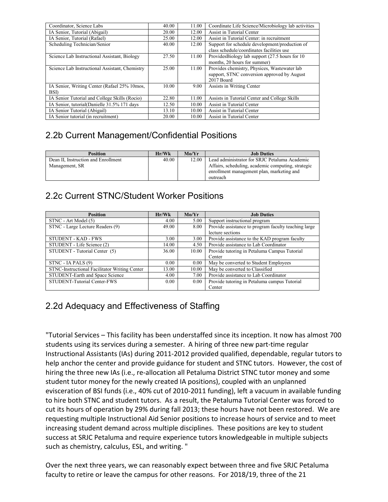| Coordinator, Science Labs                      | 40.00 | 11.00 | Coordinate Life Science/Microbiology lab activities |
|------------------------------------------------|-------|-------|-----------------------------------------------------|
| IA Senior, Tutorial (Abigail)                  | 20.00 | 12.00 | Assist in Tutorial Center                           |
| IA Senior, Tutorial (Rafael)                   | 25.00 | 12.00 | Assist in Tutorial Center: in recruitment           |
| Scheduling Technician/Senior                   | 40.00 | 12.00 | Support for schedule development/production of      |
|                                                |       |       | class schedule/coordinates facilities use           |
| Science Lab Instructional Assistant, Biology   | 27.50 | 11.00 | ProvidesBiology lab support (27.5 hours for 10      |
|                                                |       |       | months, 20 hours for summer)                        |
| Science Lab Instructional Assistant, Chemistry | 25.00 | 11.00 | Provides chemistry, Physices, Wastewater lab        |
|                                                |       |       | support, STNC conversion approved by August         |
|                                                |       |       | 2017 Board                                          |
| IA Senior, Writing Center (Rafael 25% 10mos,   | 10.00 | 9.00  | Assists in Writing Center                           |
| <b>BSD</b>                                     |       |       |                                                     |
| IA Senior Tutorial and College Skills (Rocio)  | 22.80 | 11.00 | Assists in Tutorial Center and College Skills       |
| IA Senior, tutorial(Danielle 31.5% 171 days    | 12.50 | 10.00 | Assist in Tutorial Center                           |
| IA Senior Tutorial (Abigail)                   | 13.10 | 10.00 | Assist in Tutorial Center                           |
| IA Senior tutorial (in recruitment)            | 20.00 | 10.00 | Assist in Tutorial Center                           |

### 2.2b Current Management/Confidential Positions

| <b>Position</b>                     | Hr/Wk | Mo/Yr | <b>Job Duties</b>                                  |
|-------------------------------------|-------|-------|----------------------------------------------------|
| Dean II, Instruction and Enrollment | 40.00 | 12.00 | Lead administrator for SRJC Petaluma Academic      |
| Management, SR                      |       |       | Affairs, scheduling, academic computing, strategic |
|                                     |       |       | enrollment management plan, marketing and          |
|                                     |       |       | outreach                                           |

### 2.2c Current STNC/Student Worker Positions

| <b>Position</b>                               | Hr/Wk    | Mo/Yr | <b>Job Duties</b>                                    |
|-----------------------------------------------|----------|-------|------------------------------------------------------|
| STNC - Art Model (5)                          | 4.00     | 5.00  | Support instructional program                        |
| STNC - Large Lecture Readers (9)              | 49.00    | 8.00  | Provide assistance to program faculty teaching large |
|                                               |          |       | lecture sections                                     |
| <b>STUDENT - KAD - FWS</b>                    | 3.00     | 3.00  | Provide assistance to the KAD program faculty        |
| STUDENT - Life Science (2)                    | 14.00    | 4.50  | Provide assistance to Lab Coordinator                |
| STUDENT - Tutorial Center (5)                 | 36.00    | 10.00 | Provide tutoring in Petaluma Campus Tutorial         |
|                                               |          |       | Center                                               |
| STNC - IA PALS (9)                            | 0.00     | 0.00  | May be converted to Student Employees                |
| STNC-Instructional Facilitator Writing Center | 13.00    | 10.00 | May be converted to Classified                       |
| STUDENT-Earth and Space Science               | 4.00     | 7.00  | Provide assistance to Lab Coordinator                |
| STUDENT-Tutorial Center-FWS                   | $0.00 -$ | 0.00  | Provide tutoring in Petaluma campus Tutorial         |
|                                               |          |       | Center                                               |

### 2.2d Adequacy and Effectiveness of Staffing

"Tutorial Services – This facility has been understaffed since its inception. It now has almost 700 students using its services during a semester. A hiring of three new part-time regular Instructional Assistants (IAs) during 2011-2012 provided qualified, dependable, regular tutors to help anchor the center and provide guidance for student and STNC tutors. However, the cost of hiring the three new IAs (i.e., re-allocation all Petaluma District STNC tutor money and some student tutor money for the newly created IA positions), coupled with an unplanned evisceration of BSI funds (i.e., 40% cut of 2010-2011 funding), left a vacuum in available funding to hire both STNC and student tutors. As a result, the Petaluma Tutorial Center was forced to cut its hours of operation by 29% during fall 2013; these hours have not been restored. We are requesting multiple Instructional Aid Senior positions to increase hours of service and to meet increasing student demand across multiple disciplines. These positions are key to student success at SRJC Petaluma and require experience tutors knowledgeable in multiple subjects such as chemistry, calculus, ESL, and writing. "

Over the next three years, we can reasonably expect between three and five SRJC Petaluma faculty to retire or leave the campus for other reasons. For 2018/19, three of the 21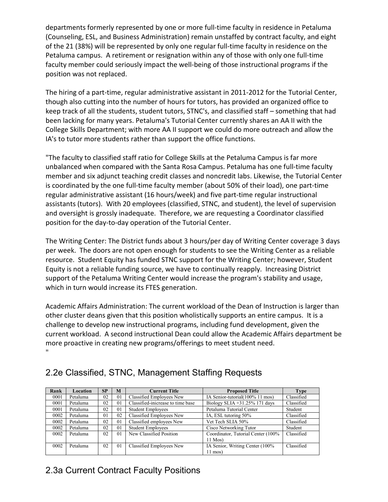departments formerly represented by one or more full-time faculty in residence in Petaluma (Counseling, ESL, and Business Administration) remain unstaffed by contract faculty, and eight of the 21 (38%) will be represented by only one regular full-time faculty in residence on the Petaluma campus. A retirement or resignation within any of those with only one full-time faculty member could seriously impact the well-being of those instructional programs if the position was not replaced.

The hiring of a part-time, regular administrative assistant in 2011-2012 for the Tutorial Center, though also cutting into the number of hours for tutors, has provided an organized office to keep track of all the students, student tutors, STNC's, and classified staff – something that had been lacking for many years. Petaluma's Tutorial Center currently shares an AA II with the College Skills Department; with more AA II support we could do more outreach and allow the IA's to tutor more students rather than support the office functions.

"The faculty to classified staff ratio for College Skills at the Petaluma Campus is far more unbalanced when compared with the Santa Rosa Campus. Petaluma has one full-time faculty member and six adjunct teaching credit classes and noncredit labs. Likewise, the Tutorial Center is coordinated by the one full-time faculty member (about 50% of their load), one part-time regular administrative assistant (16 hours/week) and five part-time regular instructional assistants (tutors). With 20 employees (classified, STNC, and student), the level of supervision and oversight is grossly inadequate. Therefore, we are requesting a Coordinator classified position for the day-to-day operation of the Tutorial Center.

The Writing Center: The District funds about 3 hours/per day of Writing Center coverage 3 days per week. The doors are not open enough for students to see the Writing Center as a reliable resource. Student Equity has funded STNC support for the Writing Center; however, Student Equity is not a reliable funding source, we have to continually reapply. Increasing District support of the Petaluma Writing Center would increase the program's stability and usage, which in turn would increase its FTES generation.

Academic Affairs Administration: The current workload of the Dean of Instruction is larger than other cluster deans given that this position wholistically supports an entire campus. It is a challenge to develop new instructional programs, including fund development, given the current workload. A second instructional Dean could allow the Academic Affairs department be more proactive in creating new programs/offerings to meet student need. "

| Rank | Location | SP             | M              | Current Title                     | <b>Proposed Title</b>               | Type       |
|------|----------|----------------|----------------|-----------------------------------|-------------------------------------|------------|
| 0001 | Petaluma | 02             | 0 <sub>1</sub> | Classified Employees New          | IA Senior-tutorial(100% 11 mos)     | Classified |
| 0001 | Petaluma | 02             | 0 <sub>1</sub> | Classified-inicrease to time base | Biology SLIA $+31.25\%$ 171 days    | Classified |
| 0001 | Petaluma | 02             | 01             | <b>Student Employees</b>          | Petaluma Tutorial Center            | Student    |
| 0002 | Petaluma | 0 <sub>1</sub> | 02             | Classified Employees New          | IA, ESL tutoring 50%                | Classified |
| 0002 | Petaluma | 02             | 01             | Classified employees New          | Vet Tech SLIA 50%                   | Classified |
| 0002 | Petaluma | 02             | 0 <sub>1</sub> | <b>Student Employees</b>          | Cisco Networking Tutor              | Student    |
| 0002 | Petaluma | 02             | 0 <sub>1</sub> | New Classified Position           | Coordinator, Tutorial Center (100%) | Classified |
|      |          |                |                |                                   | $11$ Mos $)$                        |            |
| 0002 | Petaluma | 02             | 0 <sub>1</sub> | Classified Employees New          | IA Senior, Writing Center (100%)    | Classified |
|      |          |                |                |                                   | $11 \text{ mos}$                    |            |

### 2.2e Classified, STNC, Management Staffing Requests

#### 2.3a Current Contract Faculty Positions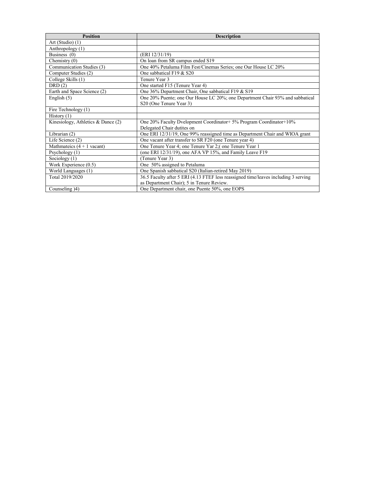| <b>Position</b>                      | <b>Description</b>                                                                  |
|--------------------------------------|-------------------------------------------------------------------------------------|
| Art (Studio) (1)                     |                                                                                     |
| Anthropology (1)                     |                                                                                     |
| Business $(0)$                       | (ERI 12/31/19)                                                                      |
| Chemistry $(0)$                      | On loan from SR campus ended S19                                                    |
| Communication Studies (3)            | One 40% Petaluma Film Fest/Cinemas Series; one Our House LC 20%                     |
| Computer Studies (2)                 | One sabbatical F19 & S20                                                            |
| College Skills (1)                   | Tenure Year 3                                                                       |
| DRD(2)                               | One started F15 (Tenure Year 4)                                                     |
| Earth and Space Science (2)          | One 36% Department Chair, One sabbatical F19 & S19                                  |
| English $(5)$                        | One 20% Puente; one Our House LC 20%; one Department Chair 93% and sabbatical       |
|                                      | S <sub>20</sub> (One Tenure Year 3)                                                 |
| Fire Technology (1)                  |                                                                                     |
| History $(1)$                        |                                                                                     |
| Kinesiology, Athletics $&$ Dance (2) | One 20% Faculty Dyelopment Coordinator + 5% Program Coordinator + 10%               |
|                                      | Delegated Chair dutites on                                                          |
| Librarian (2)                        | One ERI 12/31/19, One 99% reassigned time as Department Chair and WIOA grant        |
| Life Science (2)                     | One vacant after transfer to SR F20 (one Tenure year 4)                             |
| Mathmateics $(4 + 1$ vacant)         | One Tenure Year 4; one Tenure Yar 2; one Tenure Year 1                              |
| Psychology $(1)$                     | (one ERI 12/31/19), one AFA VP 15%, and Family Leave F19                            |
| Sociology $(1)$                      | (Tenure Year 3)                                                                     |
| Work Experience $(0.5)$              | One 50% assigned to Petaluma                                                        |
| World Languages (1)                  | One Spanish sabbatical S20 (Italian-retired May 2019)                               |
| Total 2019/2020                      | 36.5 Faculty after 5 ERI (4.13 FTEF less reassigned time/leaves including 3 serving |
|                                      | as Department Chair); 5 in Tenure Review.                                           |
| Counseling (4)                       | One Department chair, one Puente 50%, one EOPS                                      |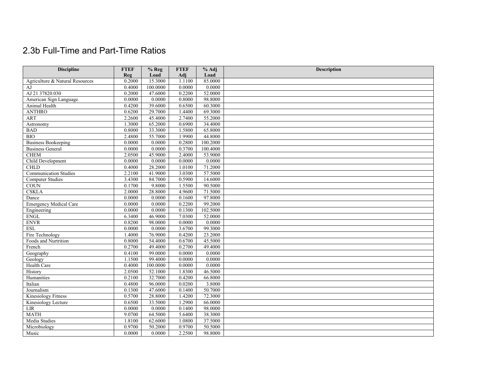### 2.3b Full-Time and Part-Time Ratios

| <b>Discipline</b>               | <b>FTEF</b> | $%$ Reg  | <b>FTEF</b>      | % Adj    | Description |
|---------------------------------|-------------|----------|------------------|----------|-------------|
|                                 | Reg         | Load     | Adj              | Load     |             |
| Agriculture & Natural Resources | 0.2000      | 15.3000  | 1.1100           | 85.0000  |             |
| AJ                              | 0.4000      | 100,0000 | 0.0000           | 0.0000   |             |
| AJ 21 37820.030                 | 0.2000      | 47.6000  | 0.2200           | 52.0000  |             |
| American Sign Language          | 0.0000      | 0.0000   | 0.8000           | 98.8000  |             |
| Animal Health                   | 0.4200      | 39.6000  | 0.6500           | 60.3000  |             |
| <b>ANTHRO</b>                   | 0.6200      | 29.7000  | 1.4400           | 69.3000  |             |
| <b>ART</b>                      | 2.2600      | 45.4000  | 2.7400           | 55.2000  |             |
| Astronomy                       | 1.3000      | 65.2000  | 0.6900           | 34.4000  |             |
| <b>BAD</b>                      | 0.8000      | 33.3000  | 1.5800           | 65.8000  |             |
| $\overline{BIO}$                | 2.4800      | 55.7000  | 1.9900           | 44.8000  |             |
| <b>Business Bookeeping</b>      | 0.0000      | 0.0000   | 0.2800           | 100.2000 |             |
| <b>Business General</b>         | 0.0000      | 0.0000   | 0.3700           | 100.4000 |             |
| <b>CHEM</b>                     | 2.0500      | 45.9000  | 2.4000           | 53.9000  |             |
| Child Development               | 0.0000      | 0.0000   | 0.0000           | 0.0000   |             |
| <b>CHLD</b>                     | 0.4000      | 28.2000  | 1.0100           | 71.2000  |             |
| <b>Communication Studies</b>    | 2.2100      | 41.9000  | 3.0300           | 57.5000  |             |
| <b>Computer Studies</b>         | 3.4300      | 84.7000  | 0.5900           | 14.6000  |             |
| <b>COUN</b>                     | 0.1700      | 9.8000   | 1.5500           | 90.5000  |             |
| <b>CSKLA</b>                    | 2.0000      | 28.8000  | 4.9600           | 71.5000  |             |
| Dance                           | 0.0000      | 0.0000   | 0.1600           | 97.8000  |             |
| <b>Emergency Medical Care</b>   | 0.0000      | 0.0000   | 0.2200           | 99.2000  |             |
| Engineering                     | 0.0000      | 0.0000   | 0.1300           | 102.5000 |             |
| <b>ENGL</b>                     | 6.3400      | 46.9000  | 7.0300           | 52.0000  |             |
| <b>ENVR</b>                     | 0.8200      | 98.0000  | 0.0000           | 0.0000   |             |
| <b>ESL</b>                      | 0.0000      | 0.0000   | 3.6700           | 99.3000  |             |
| Fire Technology                 | 1.4000      | 76.9000  | 0.4200           | 23.2000  |             |
| Foods and Nurtrition            | 0.8000      | 54.4000  | 0.6700           | 45.5000  |             |
| French                          | 0.2700      | 49.4000  | 0.2700           | 49.4000  |             |
| Geography                       | 0.4100      | 99.0000  | 0.0000           | 0.0000   |             |
| Geology                         | 1.1500      | 99,4000  | 0.0000           | 0.0000   |             |
| Health Care                     | 0.4000      | 100.0000 | 0.0000           | 0.0000   |             |
| History                         | 2.0500      | 52.1000  | 1.8300           | 46.5000  |             |
| Humanities                      | 0.2100      | 32.7000  | 0.4200           | 66.8000  |             |
| Italian                         | 0.4800      | 96.0000  | 0.0200           | 3.8000   |             |
| Journalism                      | 0.1300      | 47.6000  | 0.1400           | 50.7000  |             |
| <b>Kinesiology Fitness</b>      | 0.5700      | 28.8000  | 1.4200           | 72.3000  |             |
| Kinesiology Lecture             | 0.6500      | 33.5000  | 1.2900           | 66.0000  |             |
| LIR                             | 0.0000      | 0.0000   | 0.1400           | 98.0000  |             |
| <b>MATH</b>                     | 9.0700      | 64.5000  | 5.6400           | 38.3000  |             |
| Media Studies                   | 1.8100      | 62.6000  | 1.0800           | 37.5000  |             |
|                                 |             |          |                  |          |             |
| Music                           | 0.0000      | 0.0000   |                  | 98.8000  |             |
| Microbiology                    | 0.9700      | 50.2000  | 0.9700<br>2.2500 | 50.5000  |             |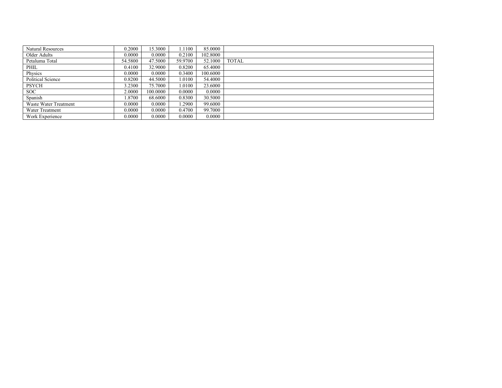| <b>Natural Resources</b> | 0.2000  | 5.3000   | .1100   | 85.0000  |              |
|--------------------------|---------|----------|---------|----------|--------------|
| Older Adults             | 0.0000  | 0.0000   | 0.2100  | 102.8000 |              |
| Petaluma Total           | 54.5800 | 47.5000  | 59.9700 | 52.1000  | <b>TOTAL</b> |
| PHIL                     | 0.4100  | 32.9000  | 0.8200  | 65.4000  |              |
| Physics                  | 0.0000  | 0.0000   | 0.3400  | 100.6000 |              |
| Political Science        | 0.8200  | 44.5000  | .0100   | 54.4000  |              |
| <b>PSYCH</b>             | 3.2300  | 75.7000  | .0100   | 23.6000  |              |
| SOC.                     | 2.0000  | 100.0000 | 0.0000  | 0.0000   |              |
| Spanish                  | .8700   | 68.6000  | 0.8300  | 30.5000  |              |
| Waste Water Treatment    | 0.0000  | 0.0000   | .2900   | 99.6000  |              |
| Water Treatment          | 0.0000  | 0.0000   | 0.4700  | 99.7000  |              |
| Work Experience          | 0.0000  | 0.0000   | 0.0000  | 0.0000   |              |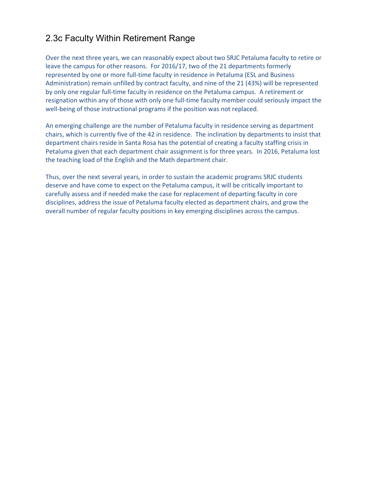#### 2.3c Faculty Within Retirement Range

Over the next three years, we can reasonably expect about two SRJC Petaluma faculty to retire or leave the campus for other reasons. For 2016/17, two of the 21 departments formerly represented by one or more full-time faculty in residence in Petaluma (ESL and Business Administration) remain unfilled by contract faculty, and nine of the 21 (43%) will be represented by only one regular full-time faculty in residence on the Petaluma campus. A retirement or resignation within any of those with only one full-time faculty member could seriously impact the well-being of those instructional programs if the position was not replaced.

An emerging challenge are the number of Petaluma faculty in residence serving as department chairs, which is currently five of the 42 in residence. The inclination by departments to insist that department chairs reside in Santa Rosa has the potential of creating a faculty staffing crisis in Petaluma given that each department chair assignment is for three years. In 2016, Petaluma lost the teaching load of the English and the Math department chair.

Thus, over the next several years, in order to sustain the academic programs SRJC students deserve and have come to expect on the Petaluma campus, it will be critically important to carefully assess and if needed make the case for replacement of departing faculty in core disciplines, address the issue of Petaluma faculty elected as department chairs, and grow the overall number of regular faculty positions in key emerging disciplines across the campus.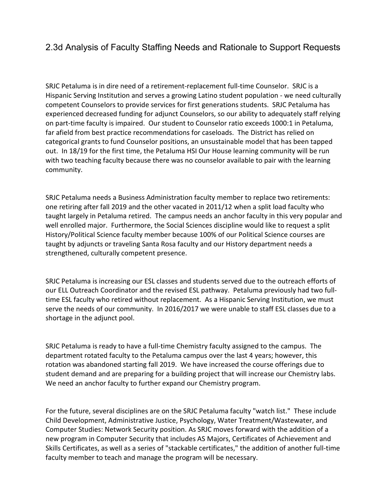#### 2.3d Analysis of Faculty Staffing Needs and Rationale to Support Requests

SRJC Petaluma is in dire need of a retirement-replacement full-time Counselor.  SRJC is a Hispanic Serving Institution and serves a growing Latino student population - we need culturally competent Counselors to provide services for first generations students.  SRJC Petaluma has experienced decreased funding for adjunct Counselors, so our ability to adequately staff relying on part-time faculty is impaired.  Our student to Counselor ratio exceeds 1000:1 in Petaluma, far afield from best practice recommendations for caseloads.  The District has relied on categorical grants to fund Counselor positions, an unsustainable model that has been tapped out.  In 18/19 for the first time, the Petaluma HSI Our House learning community will be run with two teaching faculty because there was no counselor available to pair with the learning community.

SRJC Petaluma needs a Business Administration faculty member to replace two retirements: one retiring after fall 2019 and the other vacated in 2011/12 when a split load faculty who taught largely in Petaluma retired.  The campus needs an anchor faculty in this very popular and well enrolled major.  Furthermore, the Social Sciences discipline would like to request a split History/Political Science faculty member because 100% of our Political Science courses are taught by adjuncts or traveling Santa Rosa faculty and our History department needs a strengthened, culturally competent presence.

SRJC Petaluma is increasing our ESL classes and students served due to the outreach efforts of our ELL Outreach Coordinator and the revised ESL pathway.  Petaluma previously had two fulltime ESL faculty who retired without replacement.  As a Hispanic Serving Institution, we must serve the needs of our community.  In 2016/2017 we were unable to staff ESL classes due to a shortage in the adjunct pool.

SRJC Petaluma is ready to have a full-time Chemistry faculty assigned to the campus. The department rotated faculty to the Petaluma campus over the last 4 years; however, this rotation was abandoned starting fall 2019.  We have increased the course offerings due to student demand and are preparing for a building project that will increase our Chemistry labs.  We need an anchor faculty to further expand our Chemistry program.

For the future, several disciplines are on the SRJC Petaluma faculty "watch list."  These include Child Development, Administrative Justice, Psychology, Water Treatment/Wastewater, and Computer Studies: Network Security position. As SRJC moves forward with the addition of a new program in Computer Security that includes AS Majors, Certificates of Achievement and Skills Certificates, as well as a series of "stackable certificates," the addition of another full-time faculty member to teach and manage the program will be necessary.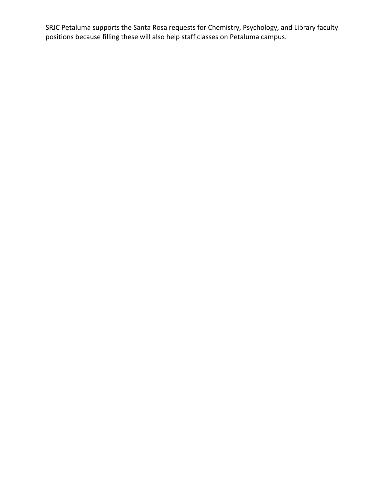SRJC Petaluma supports the Santa Rosa requests for Chemistry, Psychology, and Library faculty positions because filling these will also help staff classes on Petaluma campus.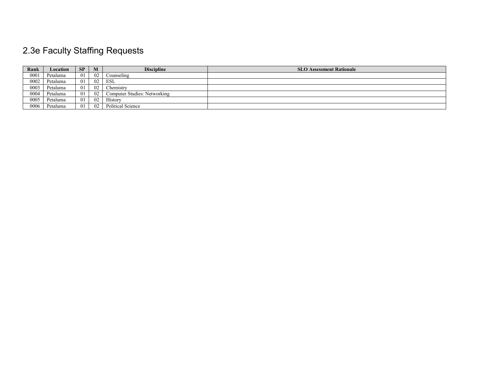## 2.3e Faculty Staffing Requests

| Rank | Location | SP  | M  | <b>Discipline</b>            | <b>SLO Assessment Rationale</b> |
|------|----------|-----|----|------------------------------|---------------------------------|
| 0001 | Petaluma | -01 | 02 | Counseling                   |                                 |
| 0002 | Petaluma | -01 | 02 | <b>ESL</b>                   |                                 |
| 0003 | Petaluma | -01 | 02 | Chemistry                    |                                 |
| 0004 | Petaluma | -01 | 02 | Computer Studies: Networking |                                 |
| 0005 | Petaluma | -01 | 02 | History                      |                                 |
| 0006 | Petaluma | -01 | 02 | Political Science            |                                 |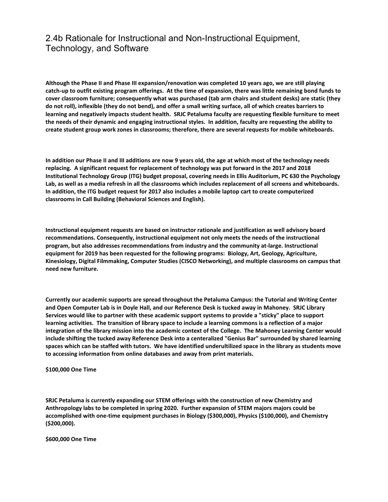#### 2.4b Rationale for Instructional and Non-Instructional Equipment, Technology, and Software

**Although the Phase II and Phase III expansion/renovation was completed 10 years ago, we are still playing catch-up to outfit existing program offerings.  At the time of expansion, there was little remaining bond funds to cover classroom furniture; consequently what was purchased (tab arm chairs and student desks) are static (they do not roll), inflexible (they do not bend), and offer a small writing surface, all of which creates barriers to learning and negatively impacts student health.  SRJC Petaluma faculty are requesting flexible furniture to meet the needs of their dynamic and engaging instructional styles.  In addition, faculty are requesting the ability to create student group work zones in classrooms; therefore, there are several requests for mobile whiteboards.** 

**In addition our Phase II and III additions are now 9 years old, the age at which most of the technology needs replacing.  A significant request for replacement of technology was put forward in the 2017 and 2018 Institutional Technology Group (ITG) budget proposal, covering needs in Ellis Auditorium, PC 630 the Psychology Lab, as well as a media refresh in all the classrooms which includes replacement of all screens and whiteboards.  In addition, the ITG budget request for 2017 also includes a mobile laptop cart to create computerized classrooms in Call Building (Behavioral Sciences and English).** 

**Instructional equipment requests are based on instructor rationale and justification as well advisory board recommendations. Consequently, instructional equipment not only meets the needs of the instructional program, but also addresses recommendations from industry and the community at-large. Instructional equipment for 2019 has been requested for the following programs:  Biology, Art, Geology, Agriculture, Kinesiology, Digital Filmmaking, Computer Studies (CISCO Networking), and multiple classrooms on campus that need new furniture.** 

**Currently our academic supports are spread throughout the Petaluma Campus: the Tutorial and Writing Center and Open Computer Lab is in Doyle Hall, and our Reference Desk is tucked away in Mahoney.  SRJC Library Services would like to partner with these academic support systems to provide a "sticky" place to support learning activities.  The transition of library space to include a learning commons is a reflection of a major integration of the library mission into the academic context of the College.  The Mahoney Learning Center would include shifting the tucked away Reference Desk into a centeralized "Genius Bar" surrounded by shared learning spaces which can be staffed with tutors.  We have identified underultilized space in the library as students move to accessing information from online databases and away from print materials.** 

**\$100,000 One Time** 

**SRJC Petaluma is currently expanding our STEM offerings with the construction of new Chemistry and Anthropology labs to be completed in spring 2020. Further expansion of STEM majors majors could be accomplished with one-time equipment purchases in Biology (\$300,000), Physics (\$100,000), and Chemistry (\$200,000).** 

**\$600,000 One Time**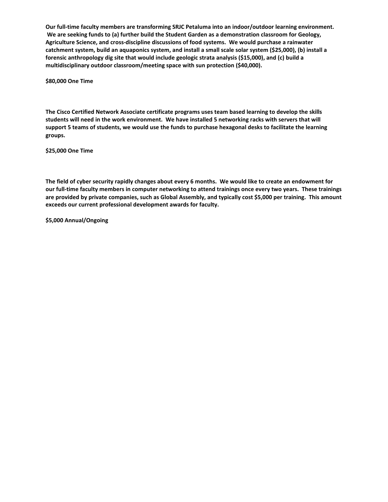**Our full-time faculty members are transforming SRJC Petaluma into an indoor/outdoor learning environment.  We are seeking funds to (a) further build the Student Garden as a demonstration classroom for Geology, Agriculture Science, and cross-discipline discussions of food systems.  We would purchase a rainwater catchment system, build an aquaponics system, and install a small scale solar system (\$25,000), (b) install a forensic anthropology dig site that would include geologic strata analysis (\$15,000), and (c) build a multidisciplinary outdoor classroom/meeting space with sun protection (\$40,000).** 

**\$80,000 One Time** 

**The Cisco Certified Network Associate certificate programs uses team based learning to develop the skills students will need in the work environment.  We have installed 5 networking racks with servers that will support 5 teams of students, we would use the funds to purchase hexagonal desks to facilitate the learning groups.** 

**\$25,000 One Time** 

**The field of cyber security rapidly changes about every 6 months.  We would like to create an endowment for our full-time faculty members in computer networking to attend trainings once every two years.  These trainings are provided by private companies, such as Global Assembly, and typically cost \$5,000 per training.  This amount exceeds our current professional development awards for faculty.** 

**\$5,000 Annual/Ongoing**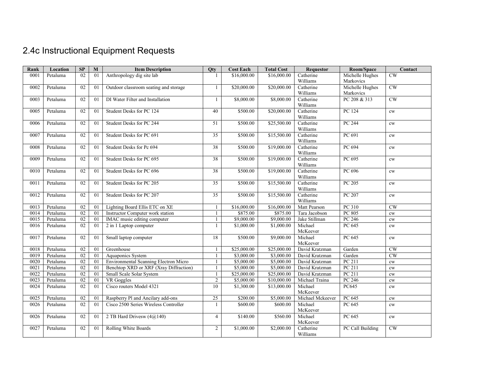# 2.4c Instructional Equipment Requests

| Rank | Location | $\mathbf{S}\mathbf{P}$ | M               | <b>Item Description</b>                | <b>Qty</b>      | <b>Cost Each</b> | <b>Total Cost</b> | <b>Requestor</b>      | Room/Space       | Contact                |
|------|----------|------------------------|-----------------|----------------------------------------|-----------------|------------------|-------------------|-----------------------|------------------|------------------------|
| 0001 | Petaluma | $\overline{02}$        | 01              | Anthropology dig site lab              |                 | \$16,000.00      | \$16,000.00       | Catherine             | Michelle Hughes  | CW                     |
|      |          |                        |                 |                                        |                 |                  |                   | Williams              | Markovics        |                        |
| 0002 | Petaluma | 02                     | 01              | Outdoor classroom seating and storage  | 1               | \$20,000.00      | \$20,000.00       | Catherine             | Michelle Hughes  | CW                     |
|      |          |                        |                 |                                        |                 |                  |                   | Williams              | Markovics        |                        |
| 0003 | Petaluma | 02                     | 0 <sub>1</sub>  | DI Water Filter and Installation       | 1               | \$8,000.00       | \$8,000.00        | Catherine             | PC 208 & 313     | $\overline{\text{CW}}$ |
|      |          |                        |                 |                                        |                 |                  |                   | Williams              |                  |                        |
| 0005 | Petaluma | 02                     | 01              | Student Desks for PC 124               | 40              | \$500.00         | \$20,000.00       | Catherine             | PC 124           | $\mathrm{cw}$          |
|      |          |                        |                 |                                        |                 |                  |                   | Williams              |                  |                        |
| 0006 | Petaluma | 02                     | 01              | Student Desks for PC 244               | 51              | \$500.00         | \$25,500.00       | Catherine             | PC 244           | cw                     |
|      |          |                        |                 |                                        |                 |                  |                   | Williams              |                  |                        |
| 0007 | Petaluma | 02                     | 01              | Student Desks for PC 691               | 35              | \$500.00         | \$15,500.00       | Catherine             | PC 691           | cw                     |
|      |          |                        |                 |                                        |                 |                  |                   | Williams              |                  |                        |
| 0008 | Petaluma | 02                     | 01              | Student Desks for Pc 694               | 38              | \$500.00         | \$19,000.00       | Catherine             | PC 694           | cw                     |
|      |          |                        |                 |                                        |                 |                  |                   | Williams              |                  |                        |
| 0009 | Petaluma | $\overline{02}$        | 01              | Student Desks for PC 695               | 38              | \$500.00         | \$19,000.00       | Catherine             | PC 695           | cw                     |
|      |          |                        |                 |                                        |                 |                  |                   | Williams              |                  |                        |
| 0010 | Petaluma | 02                     | 01              | Student Desks for PC 696               | 38              | \$500.00         | \$19,000.00       | Catherine<br>Williams | PC 696           | cw                     |
| 0011 | Petaluma | 02                     | 01              | Student Desks for PC 205               | 35              | \$500.00         | \$15,500.00       | Catherine             | PC 205           |                        |
|      |          |                        |                 |                                        |                 |                  |                   | Williams              |                  | cw                     |
| 0012 | Petaluma | 02                     | 01              | Student Desks for PC 207               | $\overline{35}$ | \$500.00         | \$15,500.00       | Catherine             | PC 207           | $\mathrm{cw}$          |
|      |          |                        |                 |                                        |                 |                  |                   | Williams              |                  |                        |
| 0013 | Petaluma | 02                     | 01              | Lighting Board Ellis ETC on XE         | $\mathbf{1}$    | \$16,000.00      | \$16,000.00       | Matt Pearson          | PC 310           | $\overline{\text{CW}}$ |
| 0014 | Petaluma | 02                     | 01              | Instructor Computer work station       | 1               | \$875.00         | \$875.00          | Tara Jacobson         | PC 805           | $\mathrm{cw}$          |
| 0015 | Petaluma | 02                     | 01              | IMAC music editing computer            | $\mathbf{1}$    | \$9,000.00       | \$9,000.00        | Jake Stillman         | PC 246           | cw                     |
| 0016 | Petaluma | 02                     | 01              | 2 in 1 Laptop computer                 | $\mathbf{1}$    | \$1,000.00       | \$1,000.00        | Michael               | PC 645           | cw                     |
|      |          |                        |                 |                                        |                 |                  |                   | McKeever              |                  |                        |
| 0017 | Petaluma | 02                     | 01              | Small laptop computer                  | 18              | \$500.00         | \$9,000.00        | Michael               | PC 645           | $\mathrm{cw}$          |
|      |          |                        |                 |                                        |                 |                  |                   | McKeever              |                  |                        |
| 0018 | Petaluma | 02                     | 01              | Greenhouse                             | -1              | \$25,000.00      | \$25,000.00       | David Kratzman        | Garden           | $\overline{\text{CW}}$ |
| 0019 | Petaluma | 02                     | 01              | Aquaponics System                      | 1               | \$3,000.00       | \$3,000.00        | David Kratzman        | Garden           | CW                     |
| 0020 | Petaluma | 02                     | 01              | Environmental Scanning Electron Micro  | 1               | \$5,000.00       | \$5,000.00        | David Kratzman        | PC 211           | cw                     |
| 0021 | Petaluma | 02                     | $\overline{01}$ | Benchtop XRD or XRF (Xray Diffraction) | 1               | \$5,000.00       | \$5,000.00        | David Kratzman        | PC 211           | $\mathrm{cw}$          |
| 0022 | Petaluma | 02                     | 01              | Small Scale Solar System               | $\mathbf{1}$    | \$25,000.00      | \$25,000.00       | David Kratzman        | PC 211           | $\mathrm{cw}$          |
| 0023 | Petaluma | 02                     | 01              | VR Goggles                             | $\overline{2}$  | \$5,000.00       | \$10,000.00       | Michael Traina        | PC 246           | cw                     |
| 0024 | Petaluma | 02                     | 01              | Cisco routers Model 4321               | 10              | \$1,300.00       | \$13,000.00       | Michael               | PC645            | cw                     |
|      |          |                        |                 |                                        |                 |                  |                   | McKeever              |                  |                        |
| 0025 | Petaluma | 02                     | 01              | Raspberry Pl and Ancilary add-ons      | 25              | \$200.00         | \$5,000.00        | Michael Mckeever      | PC 645           | cw                     |
| 0026 | Petaluma | $\overline{02}$        | 01              | Cisco 2500 Series Wireless Controller  | $\mathbf{1}$    | \$600.00         | \$600.00          | Michael               | PC 645           | cw                     |
|      |          |                        |                 |                                        |                 |                  |                   | McKeever              |                  |                        |
| 0026 | Petaluma | 02                     | 01              | 2 TB Hard Drivesw $(4@140)$            | $\overline{4}$  | \$140.00         | \$560.00          | Michael               | PC 645           | $\mathrm{cw}$          |
|      |          |                        |                 |                                        |                 |                  |                   | McKeever              |                  |                        |
| 0027 | Petaluma | 02                     | 01              | Rolling White Boards                   | $\overline{2}$  | \$1,000.00       | \$2,000.00        | Catherine             | PC Call Building | <b>CW</b>              |
|      |          |                        |                 |                                        |                 |                  |                   | Williams              |                  |                        |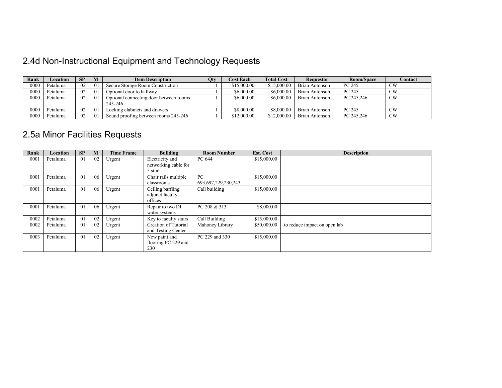## 2.4d Non-Instructional Equipment and Technology Requests

| Rank | Location | <b>SP</b> | М              | <b>Item Description</b>                | <b>Qty</b> | <b>Cost Each</b> | <b>Total Cost</b> | <b>Requestor</b>      | Room/Space | Contact     |
|------|----------|-----------|----------------|----------------------------------------|------------|------------------|-------------------|-----------------------|------------|-------------|
| 0000 | Petaluma | 02        | 01             | Secure Storage Room Construction       |            | \$15,000.00      | \$15,000.00       | <b>Brian Antonson</b> | PC 245     | <b>CW</b>   |
| 0000 | Petaluma | 02        | 01             | Optional door to hallway               |            | \$6,000.00       | \$6,000,00        | <b>Brian Antonson</b> | PC 245     | CW          |
| 0000 | Petaluma | 02        | 0 <sub>1</sub> | Optional connecting door between rooms |            | \$6,000.00       | \$6,000.00        | <b>Brian Antonson</b> | PC 245.246 | <b>CW</b>   |
|      |          |           |                | 245-246                                |            |                  |                   |                       |            |             |
| 0000 | Petaluma | 02        | 0 <sub>1</sub> | Locking clabinets and drawers          |            | \$8,000.00       | \$8,000,00        | <b>Brian Antonson</b> | PC 245     | $\text{CW}$ |
| 0000 | Petaluma | 02        | 0 <sub>1</sub> | Sound proofing between rooms 245-246   |            | \$12,000.00      | \$12,000.00       | <b>Brian Antonson</b> | PC 245.246 | CW          |

## 2.5a Minor Facilities Requests

| Rank | Location | <b>SP</b> | M  | <b>Time Frame</b> | <b>Building</b>       | <b>Room Number</b>      | Est. Cost   | <b>Description</b>           |
|------|----------|-----------|----|-------------------|-----------------------|-------------------------|-------------|------------------------------|
| 0001 | Petaluma | 01        | 02 | Urgent            | Electricity and       | PC 644                  | \$15,000.00 |                              |
|      |          |           |    |                   | networking cable for  |                         |             |                              |
|      |          |           |    |                   | 5 stud                |                         |             |                              |
| 0001 | Petaluma | 01        | 06 | Urgent            | Chair rails multiple  | PC                      | \$15,000.00 |                              |
|      |          |           |    |                   | classrooms            | 693, 697, 229, 230, 243 |             |                              |
| 0001 | Petaluma | 01        | 06 | Urgent            | Ceiling baffling      | Call building           | \$15,000.00 |                              |
|      |          |           |    |                   | adjunct faculty       |                         |             |                              |
|      |          |           |    |                   | offices               |                         |             |                              |
| 0001 | Petaluma | 01        | 06 | Urgent            | Repair to two DI      | PC 208 & 313            | \$8,000.00  |                              |
|      |          |           |    |                   | water systems         |                         |             |                              |
| 0002 | Petaluma | 01        | 02 | Urgent            | Key to faculty stairs | Call Building           | \$15,000.00 |                              |
| 0002 | Petaluma | 01        | 02 | Urgent            | Creation of Tutorial  | Mahoney Library         | \$50,000.00 | to reduce impact on open lab |
|      |          |           |    |                   | and Testing Center    |                         |             |                              |
| 0003 | Petaluma | 01        | 02 | Urgent            | New paint and         | PC 229 and 330          | \$15,000.00 |                              |
|      |          |           |    |                   | flooring PC 229 and   |                         |             |                              |
|      |          |           |    |                   | 230                   |                         |             |                              |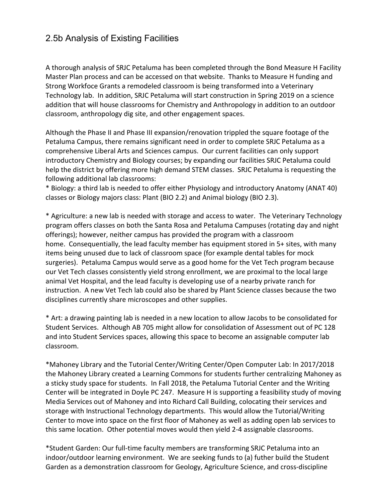#### 2.5b Analysis of Existing Facilities

A thorough analysis of SRJC Petaluma has been completed through the Bond Measure H Facility Master Plan process and can be accessed on that website. Thanks to Measure H funding and Strong Workfoce Grants a remodeled classroom is being transformed into a Veterinary Technology lab. In addition, SRJC Petaluma will start construction in Spring 2019 on a science addition that will house classrooms for Chemistry and Anthropology in addition to an outdoor classroom, anthropology dig site, and other engagement spaces.

Although the Phase II and Phase III expansion/renovation trippled the square footage of the Petaluma Campus, there remains significant need in order to complete SRJC Petaluma as a comprehensive Liberal Arts and Sciences campus. Our current facilities can only support introductory Chemistry and Biology courses; by expanding our facilities SRJC Petaluma could help the district by offering more high demand STEM classes. SRJC Petaluma is requesting the following additional lab classrooms:

\* Biology: a third lab is needed to offer either Physiology and introductory Anatomy (ANAT 40) classes or Biology majors class: Plant (BIO 2.2) and Animal biology (BIO 2.3).

\* Agriculture: a new lab is needed with storage and access to water. The Veterinary Technology program offers classes on both the Santa Rosa and Petaluma Campuses (rotating day and night offerings); however, neither campus has provided the program with a classroom home. Consequentially, the lead faculty member has equipment stored in 5+ sites, with many items being unused due to lack of classroom space (for example dental tables for mock surgeries). Petaluma Campus would serve as a good home for the Vet Tech program because our Vet Tech classes consistently yield strong enrollment, we are proximal to the local large animal Vet Hospital, and the lead faculty is developing use of a nearby private ranch for instruction. A new Vet Tech lab could also be shared by Plant Science classes because the two disciplines currently share microscopes and other supplies.

\* Art: a drawing painting lab is needed in a new location to allow Jacobs to be consolidated for Student Services. Although AB 705 might allow for consolidation of Assessment out of PC 128 and into Student Services spaces, allowing this space to become an assignable computer lab classroom.

\*Mahoney Library and the Tutorial Center/Writing Center/Open Computer Lab: In 2017/2018 the Mahoney Library created a Learning Commons for students further centralizing Mahoney as a sticky study space for students. In Fall 2018, the Petaluma Tutorial Center and the Writing Center will be integrated in Doyle PC 247. Measure H is supporting a feasibility study of moving Media Services out of Mahoney and into Richard Call Building, colocating their services and storage with Instructional Technology departments. This would allow the Tutorial/Writing Center to move into space on the first floor of Mahoney as well as adding open lab services to this same location. Other potential moves would then yield 2-4 assignable classrooms.

\*Student Garden: Our full-time faculty members are transforming SRJC Petaluma into an indoor/outdoor learning environment. We are seeking funds to (a) futher build the Student Garden as a demonstration classroom for Geology, Agriculture Science, and cross-discipline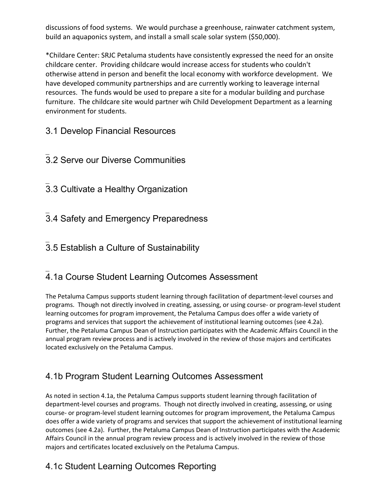discussions of food systems. We would purchase a greenhouse, rainwater catchment system, build an aquaponics system, and install a small scale solar system (\$50,000).

\*Childare Center: SRJC Petaluma students have consistently expressed the need for an onsite childcare center. Providing childcare would increase access for students who couldn't otherwise attend in person and benefit the local economy with workforce development. We have developed community partnerships and are currently working to leaverage internal resources. The funds would be used to prepare a site for a modular building and purchase furniture. The childcare site would partner wih Child Development Department as a learning environment for students.

3.1 Develop Financial Resources

- $\overline{\phantom{a}}$ 3.2 Serve our Diverse Communities
- $\overline{\phantom{a}}$ 3.3 Cultivate a Healthy Organization

 $\overline{\phantom{a}}$ 3.4 Safety and Emergency Preparedness

 $\overline{\phantom{a}}$ 3.5 Establish a Culture of Sustainability

#### $\overline{\phantom{a}}$ 4.1a Course Student Learning Outcomes Assessment

The Petaluma Campus supports student learning through facilitation of department-level courses and programs. Though not directly involved in creating, assessing, or using course- or program-level student learning outcomes for program improvement, the Petaluma Campus does offer a wide variety of programs and services that support the achievement of institutional learning outcomes (see 4.2a). Further, the Petaluma Campus Dean of Instruction participates with the Academic Affairs Council in the annual program review process and is actively involved in the review of those majors and certificates located exclusively on the Petaluma Campus.

#### 4.1b Program Student Learning Outcomes Assessment

As noted in section 4.1a, the Petaluma Campus supports student learning through facilitation of department-level courses and programs. Though not directly involved in creating, assessing, or using course- or program-level student learning outcomes for program improvement, the Petaluma Campus does offer a wide variety of programs and services that support the achievement of institutional learning outcomes (see 4.2a). Further, the Petaluma Campus Dean of Instruction participates with the Academic Affairs Council in the annual program review process and is actively involved in the review of those majors and certificates located exclusively on the Petaluma Campus.

### 4.1c Student Learning Outcomes Reporting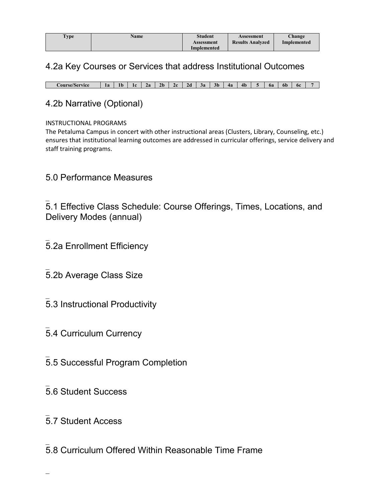| <b>Type</b> | <b>Name</b> | <b>Student</b> | Assessment              | Change      |
|-------------|-------------|----------------|-------------------------|-------------|
|             |             | Assessment     | <b>Results Analyzed</b> | Implemented |
|             |             | Implemented    |                         |             |

#### 4.2a Key Courses or Services that address Institutional Outcomes

**Course/Service 1a 1b 1c 2a 2b 2c 2d 3a 3b 4a 4b 5 6a 6b 6c 7**

#### 4.2b Narrative (Optional)

#### INSTRUCTIONAL PROGRAMS

The Petaluma Campus in concert with other instructional areas (Clusters, Library, Counseling, etc.) ensures that institutional learning outcomes are addressed in curricular offerings, service delivery and staff training programs.

#### 5.0 Performance Measures

 $\overline{\phantom{a}}$ 5.1 Effective Class Schedule: Course Offerings, Times, Locations, and Delivery Modes (annual)

- $\overline{\phantom{a}}$ 5.2a Enrollment Efficiency
- $\overline{\phantom{a}}$ 5.2b Average Class Size
- $\overline{\phantom{a}}$ 5.3 Instructional Productivity
- $\overline{\phantom{a}}$ 5.4 Curriculum Currency
- $\overline{\phantom{a}}$ 5.5 Successful Program Completion
- $\overline{\phantom{a}}$ 5.6 Student Success
- $\overline{\phantom{a}}$ 5.7 Student Access
- $\overline{\phantom{a}}$ 5.8 Curriculum Offered Within Reasonable Time Frame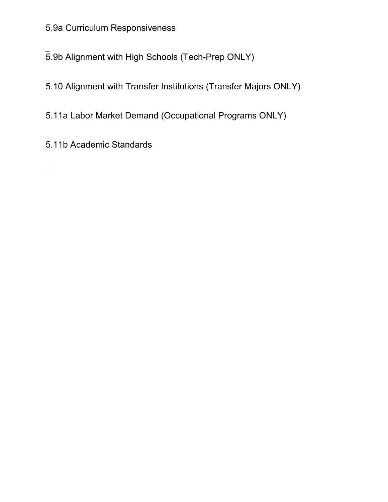### 5.9a Curriculum Responsiveness

 $\overline{\phantom{a}}$ 5.9b Alignment with High Schools (Tech-Prep ONLY)

 $\overline{\phantom{a}}$ 5.10 Alignment with Transfer Institutions (Transfer Majors ONLY)

 $\overline{\phantom{a}}$ 5.11a Labor Market Demand (Occupational Programs ONLY)

 $\overline{\phantom{a}}$ 5.11b Academic Standards

 $\overline{\phantom{0}}$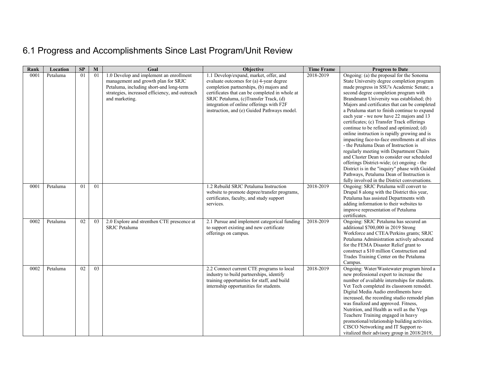## 6.1 Progress and Accomplishments Since Last Program/Unit Review

| Rank | Location | SP             | M  | Goal                                                               | Objective                                                                                                                                                                                                                                                                                                                                                                                     | <b>Time Frame</b> | <b>Progress to Date</b>                                                                                                                                                                                                                                                                                                                                                                                                                                                                                                                                                                                                                                                                                                                                                                                                                                                                                                                                                                                                                     |
|------|----------|----------------|----|--------------------------------------------------------------------|-----------------------------------------------------------------------------------------------------------------------------------------------------------------------------------------------------------------------------------------------------------------------------------------------------------------------------------------------------------------------------------------------|-------------------|---------------------------------------------------------------------------------------------------------------------------------------------------------------------------------------------------------------------------------------------------------------------------------------------------------------------------------------------------------------------------------------------------------------------------------------------------------------------------------------------------------------------------------------------------------------------------------------------------------------------------------------------------------------------------------------------------------------------------------------------------------------------------------------------------------------------------------------------------------------------------------------------------------------------------------------------------------------------------------------------------------------------------------------------|
| 0001 | Petaluma | 01             | 01 | 1.0 Develop and implement an enrollment                            | 1.1 Develop/expand, market, offer, and                                                                                                                                                                                                                                                                                                                                                        | 2018-2019         | Ongoing: (a) the proposal for the Sonoma                                                                                                                                                                                                                                                                                                                                                                                                                                                                                                                                                                                                                                                                                                                                                                                                                                                                                                                                                                                                    |
|      |          |                |    | management and growth plan for SRJC                                | evaluate outcomes for (a) 4-year degree                                                                                                                                                                                                                                                                                                                                                       |                   | State University degree completion program                                                                                                                                                                                                                                                                                                                                                                                                                                                                                                                                                                                                                                                                                                                                                                                                                                                                                                                                                                                                  |
|      |          |                |    | Petaluma, including short-and long-term                            | completion partnerships, (b) majors and                                                                                                                                                                                                                                                                                                                                                       |                   | made progress in SSU's Academic Senate; a                                                                                                                                                                                                                                                                                                                                                                                                                                                                                                                                                                                                                                                                                                                                                                                                                                                                                                                                                                                                   |
|      |          |                |    | strategies, increased efficiency, and outreach                     | certificates that can be completed in whole at                                                                                                                                                                                                                                                                                                                                                |                   | second degree completion program with                                                                                                                                                                                                                                                                                                                                                                                                                                                                                                                                                                                                                                                                                                                                                                                                                                                                                                                                                                                                       |
|      |          |                |    | and marketing.                                                     | SRJC Petaluma, (c)Transfer Track, (d)                                                                                                                                                                                                                                                                                                                                                         |                   | Brandmann University was established; (b)                                                                                                                                                                                                                                                                                                                                                                                                                                                                                                                                                                                                                                                                                                                                                                                                                                                                                                                                                                                                   |
|      |          |                |    |                                                                    | integration of online offerings with F2F                                                                                                                                                                                                                                                                                                                                                      |                   | Majors and certificates that can be completed                                                                                                                                                                                                                                                                                                                                                                                                                                                                                                                                                                                                                                                                                                                                                                                                                                                                                                                                                                                               |
|      |          |                |    |                                                                    | instruction, and (e) Guided Pathways model.                                                                                                                                                                                                                                                                                                                                                   |                   | a Petaluma start to finish continue to expand                                                                                                                                                                                                                                                                                                                                                                                                                                                                                                                                                                                                                                                                                                                                                                                                                                                                                                                                                                                               |
|      |          |                |    |                                                                    |                                                                                                                                                                                                                                                                                                                                                                                               |                   | each year - we now have 22 majors and 13                                                                                                                                                                                                                                                                                                                                                                                                                                                                                                                                                                                                                                                                                                                                                                                                                                                                                                                                                                                                    |
|      |          |                |    |                                                                    |                                                                                                                                                                                                                                                                                                                                                                                               |                   | certificates; (c) Transfer Track offerings                                                                                                                                                                                                                                                                                                                                                                                                                                                                                                                                                                                                                                                                                                                                                                                                                                                                                                                                                                                                  |
|      |          |                |    |                                                                    |                                                                                                                                                                                                                                                                                                                                                                                               |                   | continue to be refined and optimized; (d)                                                                                                                                                                                                                                                                                                                                                                                                                                                                                                                                                                                                                                                                                                                                                                                                                                                                                                                                                                                                   |
|      |          |                |    |                                                                    |                                                                                                                                                                                                                                                                                                                                                                                               |                   | online instruction is rapidly growing and is                                                                                                                                                                                                                                                                                                                                                                                                                                                                                                                                                                                                                                                                                                                                                                                                                                                                                                                                                                                                |
|      |          |                |    |                                                                    |                                                                                                                                                                                                                                                                                                                                                                                               |                   | impacting face-to-face enrollments at all sites<br>- the Petaluma Dean of Instruction is                                                                                                                                                                                                                                                                                                                                                                                                                                                                                                                                                                                                                                                                                                                                                                                                                                                                                                                                                    |
|      |          |                |    |                                                                    |                                                                                                                                                                                                                                                                                                                                                                                               |                   |                                                                                                                                                                                                                                                                                                                                                                                                                                                                                                                                                                                                                                                                                                                                                                                                                                                                                                                                                                                                                                             |
|      |          |                |    |                                                                    |                                                                                                                                                                                                                                                                                                                                                                                               |                   | regularly meeting with Department Chairs<br>and Cluster Dean to consider our scheduled                                                                                                                                                                                                                                                                                                                                                                                                                                                                                                                                                                                                                                                                                                                                                                                                                                                                                                                                                      |
|      |          |                |    |                                                                    |                                                                                                                                                                                                                                                                                                                                                                                               |                   | offerings District-wide; (e) ongoing - the                                                                                                                                                                                                                                                                                                                                                                                                                                                                                                                                                                                                                                                                                                                                                                                                                                                                                                                                                                                                  |
|      |          |                |    |                                                                    |                                                                                                                                                                                                                                                                                                                                                                                               |                   | District is in the "inquiry" phase with Guided                                                                                                                                                                                                                                                                                                                                                                                                                                                                                                                                                                                                                                                                                                                                                                                                                                                                                                                                                                                              |
|      |          |                |    |                                                                    |                                                                                                                                                                                                                                                                                                                                                                                               |                   | Pathways, Petaluma Dean of Instruction is                                                                                                                                                                                                                                                                                                                                                                                                                                                                                                                                                                                                                                                                                                                                                                                                                                                                                                                                                                                                   |
|      |          |                |    |                                                                    |                                                                                                                                                                                                                                                                                                                                                                                               |                   | fully involved in the District conversations.                                                                                                                                                                                                                                                                                                                                                                                                                                                                                                                                                                                                                                                                                                                                                                                                                                                                                                                                                                                               |
| 0001 | Petaluma | 0 <sub>1</sub> | 01 |                                                                    | 1.2 Rebuild SRJC Petaluma Instruction                                                                                                                                                                                                                                                                                                                                                         | 2018-2019         | Ongoing: SRJC Petaluma will convert to                                                                                                                                                                                                                                                                                                                                                                                                                                                                                                                                                                                                                                                                                                                                                                                                                                                                                                                                                                                                      |
|      |          |                |    |                                                                    |                                                                                                                                                                                                                                                                                                                                                                                               |                   |                                                                                                                                                                                                                                                                                                                                                                                                                                                                                                                                                                                                                                                                                                                                                                                                                                                                                                                                                                                                                                             |
|      |          |                |    |                                                                    |                                                                                                                                                                                                                                                                                                                                                                                               |                   |                                                                                                                                                                                                                                                                                                                                                                                                                                                                                                                                                                                                                                                                                                                                                                                                                                                                                                                                                                                                                                             |
|      |          |                |    |                                                                    | services.                                                                                                                                                                                                                                                                                                                                                                                     |                   |                                                                                                                                                                                                                                                                                                                                                                                                                                                                                                                                                                                                                                                                                                                                                                                                                                                                                                                                                                                                                                             |
|      |          |                |    |                                                                    |                                                                                                                                                                                                                                                                                                                                                                                               |                   |                                                                                                                                                                                                                                                                                                                                                                                                                                                                                                                                                                                                                                                                                                                                                                                                                                                                                                                                                                                                                                             |
|      |          |                |    |                                                                    |                                                                                                                                                                                                                                                                                                                                                                                               |                   | certificates.                                                                                                                                                                                                                                                                                                                                                                                                                                                                                                                                                                                                                                                                                                                                                                                                                                                                                                                                                                                                                               |
| 0002 | Petaluma | 02             | 03 |                                                                    |                                                                                                                                                                                                                                                                                                                                                                                               | 2018-2019         |                                                                                                                                                                                                                                                                                                                                                                                                                                                                                                                                                                                                                                                                                                                                                                                                                                                                                                                                                                                                                                             |
|      |          |                |    |                                                                    |                                                                                                                                                                                                                                                                                                                                                                                               |                   |                                                                                                                                                                                                                                                                                                                                                                                                                                                                                                                                                                                                                                                                                                                                                                                                                                                                                                                                                                                                                                             |
|      |          |                |    |                                                                    |                                                                                                                                                                                                                                                                                                                                                                                               |                   |                                                                                                                                                                                                                                                                                                                                                                                                                                                                                                                                                                                                                                                                                                                                                                                                                                                                                                                                                                                                                                             |
|      |          |                |    |                                                                    |                                                                                                                                                                                                                                                                                                                                                                                               |                   |                                                                                                                                                                                                                                                                                                                                                                                                                                                                                                                                                                                                                                                                                                                                                                                                                                                                                                                                                                                                                                             |
|      |          |                |    |                                                                    |                                                                                                                                                                                                                                                                                                                                                                                               |                   |                                                                                                                                                                                                                                                                                                                                                                                                                                                                                                                                                                                                                                                                                                                                                                                                                                                                                                                                                                                                                                             |
|      |          |                |    |                                                                    |                                                                                                                                                                                                                                                                                                                                                                                               |                   |                                                                                                                                                                                                                                                                                                                                                                                                                                                                                                                                                                                                                                                                                                                                                                                                                                                                                                                                                                                                                                             |
|      |          |                |    |                                                                    |                                                                                                                                                                                                                                                                                                                                                                                               |                   |                                                                                                                                                                                                                                                                                                                                                                                                                                                                                                                                                                                                                                                                                                                                                                                                                                                                                                                                                                                                                                             |
|      |          |                |    |                                                                    |                                                                                                                                                                                                                                                                                                                                                                                               |                   |                                                                                                                                                                                                                                                                                                                                                                                                                                                                                                                                                                                                                                                                                                                                                                                                                                                                                                                                                                                                                                             |
|      |          |                |    |                                                                    |                                                                                                                                                                                                                                                                                                                                                                                               |                   |                                                                                                                                                                                                                                                                                                                                                                                                                                                                                                                                                                                                                                                                                                                                                                                                                                                                                                                                                                                                                                             |
|      |          |                |    |                                                                    |                                                                                                                                                                                                                                                                                                                                                                                               |                   |                                                                                                                                                                                                                                                                                                                                                                                                                                                                                                                                                                                                                                                                                                                                                                                                                                                                                                                                                                                                                                             |
|      |          |                |    |                                                                    |                                                                                                                                                                                                                                                                                                                                                                                               |                   |                                                                                                                                                                                                                                                                                                                                                                                                                                                                                                                                                                                                                                                                                                                                                                                                                                                                                                                                                                                                                                             |
|      |          |                |    |                                                                    |                                                                                                                                                                                                                                                                                                                                                                                               |                   |                                                                                                                                                                                                                                                                                                                                                                                                                                                                                                                                                                                                                                                                                                                                                                                                                                                                                                                                                                                                                                             |
|      |          |                |    |                                                                    |                                                                                                                                                                                                                                                                                                                                                                                               |                   |                                                                                                                                                                                                                                                                                                                                                                                                                                                                                                                                                                                                                                                                                                                                                                                                                                                                                                                                                                                                                                             |
|      |          |                |    |                                                                    |                                                                                                                                                                                                                                                                                                                                                                                               |                   |                                                                                                                                                                                                                                                                                                                                                                                                                                                                                                                                                                                                                                                                                                                                                                                                                                                                                                                                                                                                                                             |
|      |          |                |    |                                                                    |                                                                                                                                                                                                                                                                                                                                                                                               |                   |                                                                                                                                                                                                                                                                                                                                                                                                                                                                                                                                                                                                                                                                                                                                                                                                                                                                                                                                                                                                                                             |
|      |          |                |    |                                                                    |                                                                                                                                                                                                                                                                                                                                                                                               |                   |                                                                                                                                                                                                                                                                                                                                                                                                                                                                                                                                                                                                                                                                                                                                                                                                                                                                                                                                                                                                                                             |
|      |          |                |    |                                                                    |                                                                                                                                                                                                                                                                                                                                                                                               |                   |                                                                                                                                                                                                                                                                                                                                                                                                                                                                                                                                                                                                                                                                                                                                                                                                                                                                                                                                                                                                                                             |
|      |          |                |    |                                                                    |                                                                                                                                                                                                                                                                                                                                                                                               |                   |                                                                                                                                                                                                                                                                                                                                                                                                                                                                                                                                                                                                                                                                                                                                                                                                                                                                                                                                                                                                                                             |
|      |          |                |    |                                                                    |                                                                                                                                                                                                                                                                                                                                                                                               |                   |                                                                                                                                                                                                                                                                                                                                                                                                                                                                                                                                                                                                                                                                                                                                                                                                                                                                                                                                                                                                                                             |
| 0002 | Petaluma | 02             | 03 | 2.0 Explore and strenthen CTE prescence at<br><b>SRJC</b> Petaluma | website to promote depree/transfer programs,<br>certificates, faculty, and study support<br>2.1 Pursue and implement categorical funding<br>to support existing and new certificate<br>offerings on campus.<br>2.2 Connect current CTE programs to local<br>industry to build partnerships, identify<br>training opportunities for staff, and build<br>internship opportunities for students. | 2018-2019         | Drupal 8 along with the District this year,<br>Petaluma has assisted Departments with<br>adding information to their websites to<br>improve representation of Petaluma<br>Ongoing: SRJC Petaluma has secured an<br>additional \$700,000 in 2019 Strong<br>Workforce and CTEA/Perkins grants; SRJC<br>Petaluma Administration actively advocated<br>for the FEMA Disaster Relief grant to<br>construct a \$10 million Construction and<br>Trades Training Center on the Petaluma<br>Campus.<br>Ongoing: Water/Wastewater program hired a<br>new professional expert to increase the<br>number of available internships for students.<br>Vet Tech completed its classroom remodel.<br>Digital Media Audio enrollments have<br>increased, the recording studio remodel plan<br>was finalized and approved. Fitness,<br>Nutrition, and Health as well as the Yoga<br>Teachere Training engaged in heavy<br>promotional/relationship building activities.<br>CISCO Networking and IT Support re-<br>vitalized their advisory group in 2018/2019, |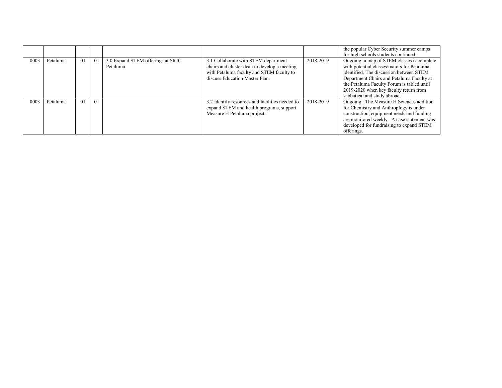|      |          |    |                |                                               |                                                                                                                                                                     |           | the popular Cyber Security summer camps<br>for high schools students continued.                                                                                                                                                                                                                          |
|------|----------|----|----------------|-----------------------------------------------|---------------------------------------------------------------------------------------------------------------------------------------------------------------------|-----------|----------------------------------------------------------------------------------------------------------------------------------------------------------------------------------------------------------------------------------------------------------------------------------------------------------|
| 0003 | Petaluma | 01 | 01             | 3.0 Expand STEM offerings at SRJC<br>Petaluma | 3.1 Collaborate with STEM department<br>chairs and cluster dean to develop a meeting<br>with Petaluma faculty and STEM faculty to<br>discuss Education Master Plan. | 2018-2019 | Ongoing: a map of STEM classes is complete<br>with potential classes/majors for Petaluma<br>identified. The discussion between STEM<br>Department Chairs and Petaluma Faculty at<br>the Petaluma Faculty Forum is tabled until<br>2019-2020 when key faculty return from<br>sabbatical and study abroad. |
| 0003 | Petaluma | 01 | 0 <sub>1</sub> |                                               | 3.2 Identify resources and facilities needed to<br>expand STEM and health programs, support<br>Measure H Petaluma project.                                          | 2018-2019 | Ongoing: The Measure H Sciences addition<br>for Chemistry and Anthroplogy is under<br>construction, equipment needs and funding<br>are monitored weekly. A case statement was<br>developed for fundraising to expand STEM<br>offerings.                                                                  |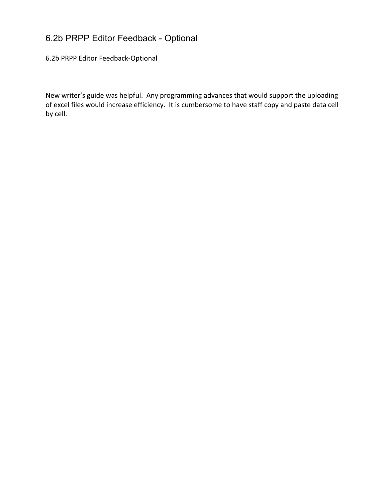### 6.2b PRPP Editor Feedback - Optional

6.2b PRPP Editor Feedback-Optional

New writer's guide was helpful. Any programming advances that would support the uploading of excel files would increase efficiency. It is cumbersome to have staff copy and paste data cell by cell.